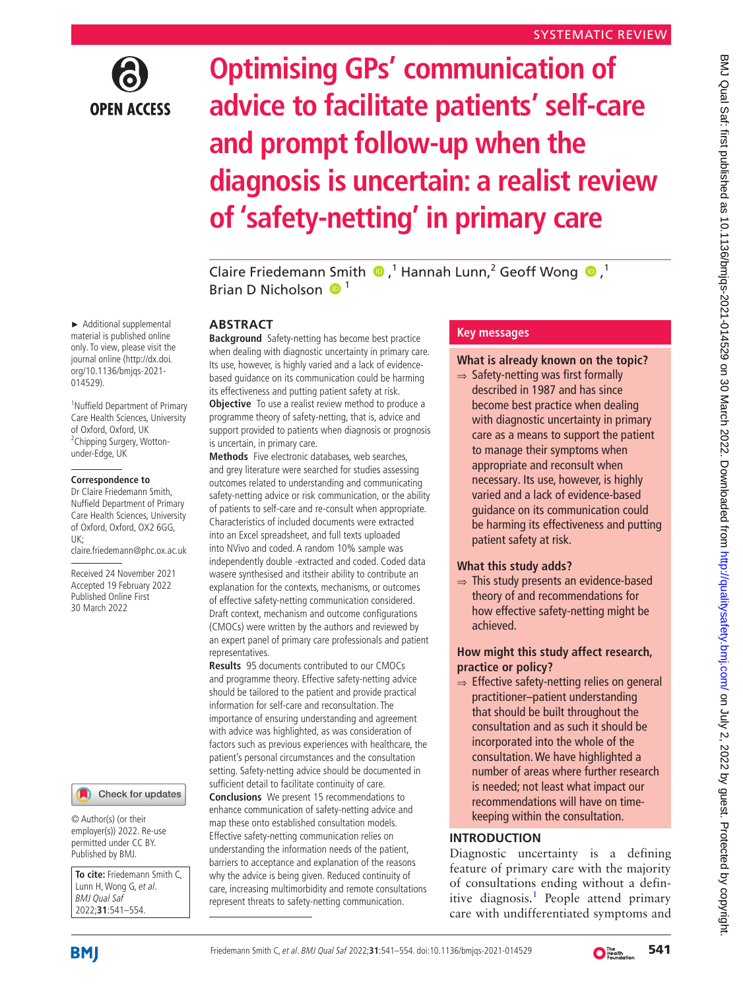

# **Optimising GPs' communication of advice to facilitate patients' self-care and prompt follow-up when the diagnosis is uncertain: a realist review of 'safety-netting' in primary care**

Claire Friedemann Smith  $\bigcirc$ ,<sup>1</sup> Hannah Lunn,<sup>2</sup> Geoff Wong  $\bigcirc$ ,<sup>1</sup> Brian D Nicholson  $\mathbf{0}^1$ 

## **ABSTRACT**

**Background** Safety-netting has become best practice when dealing with diagnostic uncertainty in primary care. Its use, however, is highly varied and a lack of evidencebased guidance on its communication could be harming its effectiveness and putting patient safety at risk. **Objective** To use a realist review method to produce a programme theory of safety-netting, that is, advice and support provided to patients when diagnosis or prognosis is uncertain, in primary care.

**Methods** Five electronic databases, web searches, and grey literature were searched for studies assessing outcomes related to understanding and communicating safety-netting advice or risk communication, or the ability of patients to self-care and re-consult when appropriate. Characteristics of included documents were extracted into an Excel spreadsheet, and full texts uploaded into NVivo and coded. A random 10% sample was independently double -extracted and coded. Coded data wasere synthesised and itstheir ability to contribute an explanation for the contexts, mechanisms, or outcomes of effective safety-netting communication considered. Draft context, mechanism and outcome configurations (CMOCs) were written by the authors and reviewed by an expert panel of primary care professionals and patient representatives.

**Results** 95 documents contributed to our CMOCs and programme theory. Effective safety-netting advice should be tailored to the patient and provide practical information for self-care and reconsultation. The importance of ensuring understanding and agreement with advice was highlighted, as was consideration of factors such as previous experiences with healthcare, the patient's personal circumstances and the consultation setting. Safety-netting advice should be documented in sufficient detail to facilitate continuity of care. **Conclusions** We present 15 recommendations to enhance communication of safety-netting advice and map these onto established consultation models. Effective safety-netting communication relies on understanding the information needs of the patient, barriers to acceptance and explanation of the reasons why the advice is being given. Reduced continuity of care, increasing multimorbidity and remote consultations represent threats to safety-netting communication.

# **Key messages**

# **What is already known on the topic?**

 $\Rightarrow$  Safety-netting was first formally described in 1987 and has since become best practice when dealing with diagnostic uncertainty in primary care as a means to support the patient to manage their symptoms when appropriate and reconsult when necessary. Its use, however, is highly varied and a lack of evidence-based guidance on its communication could be harming its effectiveness and putting patient safety at risk.

# **What this study adds?**

⇒ This study presents an evidence-based theory of and recommendations for how effective safety-netting might be achieved.

# **How might this study affect research, practice or policy?**

⇒ Effective safety-netting relies on general practitioner–patient understanding that should be built throughout the consultation and as such it should be incorporated into the whole of the consultation. We have highlighted a number of areas where further research is needed; not least what impact our recommendations will have on timekeeping within the consultation.

# **INTRODUCTION**

Diagnostic uncertainty is a defining feature of primary care with the majority of consultations ending without a defin-itive diagnosis.<sup>[1](#page-9-0)</sup> People attend primary care with undifferentiated symptoms and

► Additional supplemental material is published online only. To view, please visit the journal online ([http://dx.doi.](http://dx.doi.org/10.1136/bmjqs-2021-014529) [org/10.1136/bmjqs-2021-](http://dx.doi.org/10.1136/bmjqs-2021-014529) [014529](http://dx.doi.org/10.1136/bmjqs-2021-014529)).

1 Nuffield Department of Primary Care Health Sciences, University of Oxford, Oxford, UK <sup>2</sup>Chipping Surgery, Wottonunder-Edge, UK

#### **Correspondence to**

Dr Claire Friedemann Smith, Nuffield Department of Primary Care Health Sciences, University of Oxford, Oxford, OX2 6GG, UK; claire.friedemann@phc.ox.ac.uk

Received 24 November 2021 Accepted 19 February 2022 Published Online First 30 March 2022



© Author(s) (or their employer(s)) 2022. Re-use permitted under CC BY. Published by BMJ.

**To cite:** Friedemann Smith C, Lunn H, Wong G, et al. BMJ Qual Saf 2022;**31**:541–554.

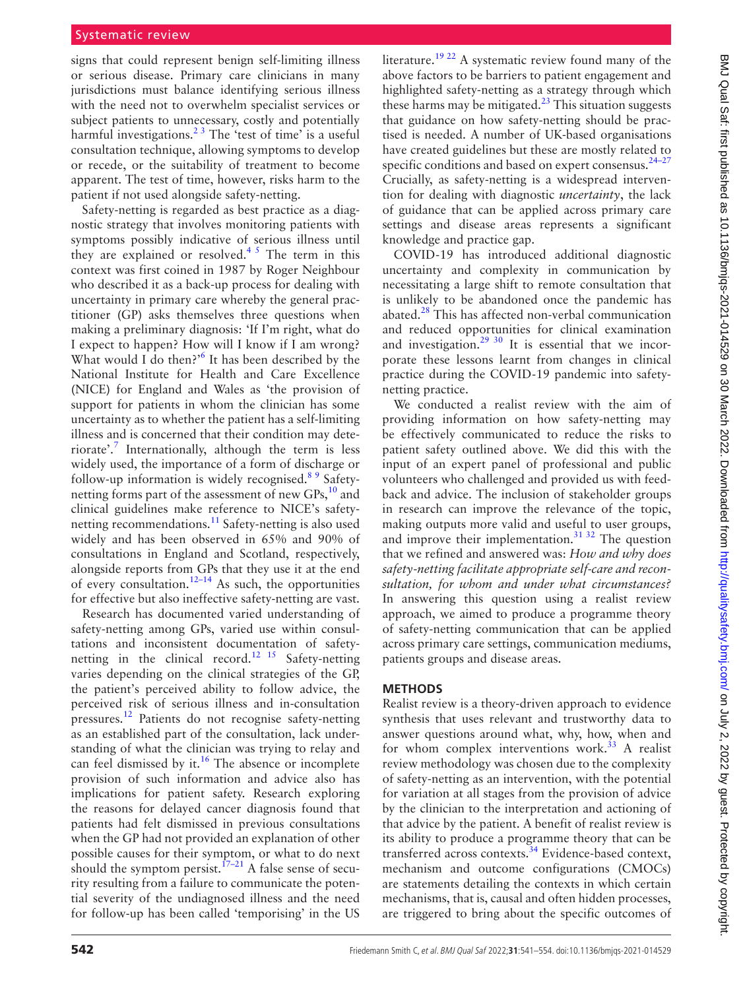signs that could represent benign self-limiting illness or serious disease. Primary care clinicians in many jurisdictions must balance identifying serious illness with the need not to overwhelm specialist services or subject patients to unnecessary, costly and potentially harmful investigations.<sup>23</sup> The 'test of time' is a useful consultation technique, allowing symptoms to develop or recede, or the suitability of treatment to become apparent. The test of time, however, risks harm to the patient if not used alongside safety-netting.

Safety-netting is regarded as best practice as a diagnostic strategy that involves monitoring patients with symptoms possibly indicative of serious illness until they are explained or resolved.<sup>45</sup> The term in this context was first coined in 1987 by Roger Neighbour who described it as a back-up process for dealing with uncertainty in primary care whereby the general practitioner (GP) asks themselves three questions when making a preliminary diagnosis: 'If I'm right, what do I expect to happen? How will I know if I am wrong? What would I do then?<sup>'[6](#page-9-3)</sup> It has been described by the National Institute for Health and Care Excellence (NICE) for England and Wales as 'the provision of support for patients in whom the clinician has some uncertainty as to whether the patient has a self-limiting illness and is concerned that their condition may dete-riorate'.<sup>[7](#page-9-4)</sup> Internationally, although the term is less widely used, the importance of a form of discharge or follow-up information is widely recognised.<sup>89</sup> Safetynetting forms part of the assessment of new GPs, $^{10}$  and clinical guidelines make reference to NICE's safety-netting recommendations.<sup>[11](#page-9-7)</sup> Safety-netting is also used widely and has been observed in 65% and 90% of consultations in England and Scotland, respectively, alongside reports from GPs that they use it at the end of every consultation.<sup>12–14</sup> As such, the opportunities for effective but also ineffective safety-netting are vast.

Research has documented varied understanding of safety-netting among GPs, varied use within consultations and inconsistent documentation of safetynetting in the clinical record.<sup>12 15</sup> Safety-netting varies depending on the clinical strategies of the GP, the patient's perceived ability to follow advice, the perceived risk of serious illness and in-consultation pressures.[12](#page-9-8) Patients do not recognise safety-netting as an established part of the consultation, lack understanding of what the clinician was trying to relay and can feel dismissed by it.<sup>[16](#page-9-9)</sup> The absence or incomplete provision of such information and advice also has implications for patient safety. Research exploring the reasons for delayed cancer diagnosis found that patients had felt dismissed in previous consultations when the GP had not provided an explanation of other possible causes for their symptom, or what to do next should the symptom persist.<sup> $17-21$ </sup> A false sense of security resulting from a failure to communicate the potential severity of the undiagnosed illness and the need for follow-up has been called 'temporising' in the US

literature.<sup>19 22</sup> A systematic review found many of the above factors to be barriers to patient engagement and highlighted safety-netting as a strategy through which these harms may be mitigated. $^{23}$  This situation suggests that guidance on how safety-netting should be practised is needed. A number of UK-based organisations have created guidelines but these are mostly related to specific conditions and based on expert consensus.<sup>24-27</sup> Crucially, as safety-netting is a widespread intervention for dealing with diagnostic *uncertainty*, the lack of guidance that can be applied across primary care settings and disease areas represents a significant knowledge and practice gap.

COVID-19 has introduced additional diagnostic uncertainty and complexity in communication by necessitating a large shift to remote consultation that is unlikely to be abandoned once the pandemic has abated.[28](#page-9-14) This has affected non-verbal communication and reduced opportunities for clinical examination and investigation.<sup>[29 30](#page-10-0)</sup> It is essential that we incorporate these lessons learnt from changes in clinical practice during the COVID-19 pandemic into safetynetting practice.

We conducted a realist review with the aim of providing information on how safety-netting may be effectively communicated to reduce the risks to patient safety outlined above. We did this with the input of an expert panel of professional and public volunteers who challenged and provided us with feedback and advice. The inclusion of stakeholder groups in research can improve the relevance of the topic, making outputs more valid and useful to user groups, and improve their implementation.<sup>[31 32](#page-10-1)</sup> The question that we refined and answered was: *How and why does safety-netting facilitate appropriate self-care and reconsultation, for whom and under what circumstances?* In answering this question using a realist review approach, we aimed to produce a programme theory of safety-netting communication that can be applied across primary care settings, communication mediums, patients groups and disease areas.

## **METHODS**

Realist review is a theory-driven approach to evidence synthesis that uses relevant and trustworthy data to answer questions around what, why, how, when and for whom complex interventions work. $33$  A realist review methodology was chosen due to the complexity of safety-netting as an intervention, with the potential for variation at all stages from the provision of advice by the clinician to the interpretation and actioning of that advice by the patient. A benefit of realist review is its ability to produce a programme theory that can be transferred across contexts.[34](#page-10-3) Evidence-based context, mechanism and outcome configurations (CMOCs) are statements detailing the contexts in which certain mechanisms, that is, causal and often hidden processes, are triggered to bring about the specific outcomes of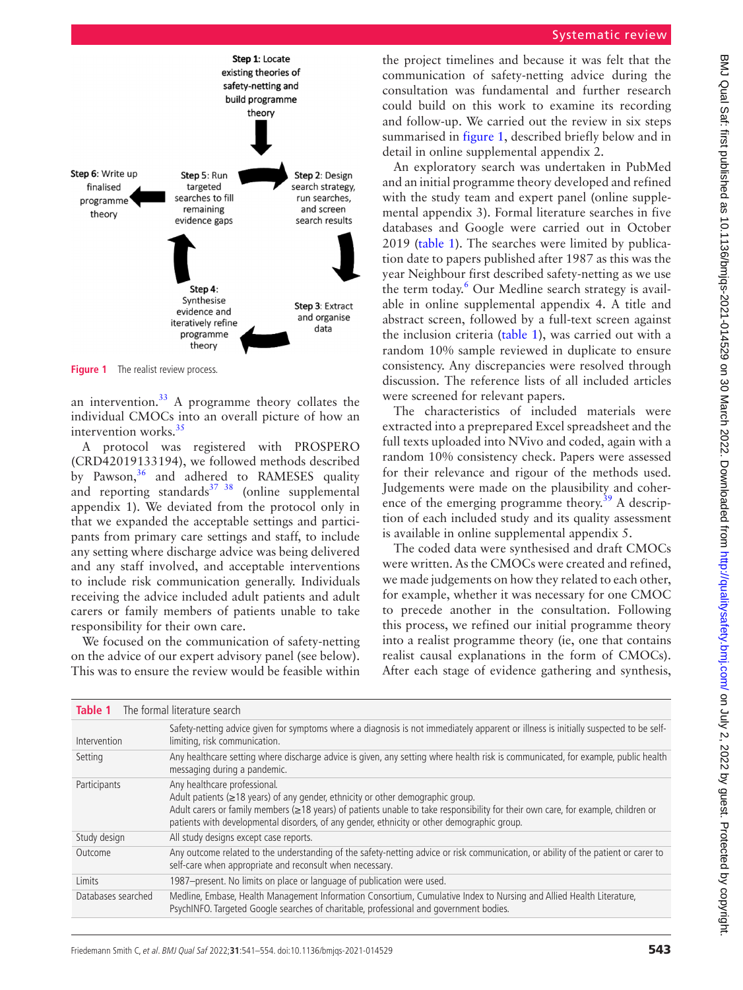

<span id="page-2-0"></span>**Figure 1** The realist review process.

an intervention.<sup>33</sup> A programme theory collates the individual CMOCs into an overall picture of how an intervention works. $35$ 

A protocol was registered with PROSPERO (CRD42019133194), we followed methods described by Pawson, $36$  and adhered to RAMESES quality and reporting standards $37 \frac{38}{9}$  (online supplemental [appendix 1](https://dx.doi.org/10.1136/bmjqs-2021-014529)). We deviated from the protocol only in that we expanded the acceptable settings and participants from primary care settings and staff, to include any setting where discharge advice was being delivered and any staff involved, and acceptable interventions to include risk communication generally. Individuals receiving the advice included adult patients and adult carers or family members of patients unable to take responsibility for their own care.

We focused on the communication of safety-netting on the advice of our expert advisory panel (see below). This was to ensure the review would be feasible within

the project timelines and because it was felt that the communication of safety-netting advice during the consultation was fundamental and further research could build on this work to examine its recording and follow-up. We carried out the review in six steps summarised in [figure](#page-2-0) 1, described briefly below and in detail in [online supplemental appendix 2.](https://dx.doi.org/10.1136/bmjqs-2021-014529)

An exploratory search was undertaken in PubMed and an initial programme theory developed and refined with the study team and expert panel ([online supple](https://dx.doi.org/10.1136/bmjqs-2021-014529)[mental appendix 3](https://dx.doi.org/10.1136/bmjqs-2021-014529)). Formal literature searches in five databases and Google were carried out in October 2019 ([table](#page-2-1) 1). The searches were limited by publication date to papers published after 1987 as this was the year Neighbour first described safety-netting as we use the term today.<sup>[6](#page-9-3)</sup> Our Medline search strategy is available in [online supplemental appendix 4](https://dx.doi.org/10.1136/bmjqs-2021-014529). A title and abstract screen, followed by a full-text screen against the inclusion criteria [\(table](#page-2-1) 1), was carried out with a random 10% sample reviewed in duplicate to ensure consistency. Any discrepancies were resolved through discussion. The reference lists of all included articles were screened for relevant papers.

The characteristics of included materials were extracted into a preprepared Excel spreadsheet and the full texts uploaded into NVivo and coded, again with a random 10% consistency check. Papers were assessed for their relevance and rigour of the methods used. Judgements were made on the plausibility and coher-ence of the emerging programme theory.<sup>[39](#page-10-7)</sup> A description of each included study and its quality assessment is available in [online supplemental appendix 5](https://dx.doi.org/10.1136/bmjqs-2021-014529).

The coded data were synthesised and draft CMOCs were written. As the CMOCs were created and refined, we made judgements on how they related to each other, for example, whether it was necessary for one CMOC to precede another in the consultation. Following this process, we refined our initial programme theory into a realist programme theory (ie, one that contains realist causal explanations in the form of CMOCs). After each stage of evidence gathering and synthesis,

<span id="page-2-1"></span>

| The formal literature search<br>Table 1 |                                                                                                                                                                                                                                                                                                                                                            |  |
|-----------------------------------------|------------------------------------------------------------------------------------------------------------------------------------------------------------------------------------------------------------------------------------------------------------------------------------------------------------------------------------------------------------|--|
| Intervention                            | Safety-netting advice given for symptoms where a diagnosis is not immediately apparent or illness is initially suspected to be self-<br>limiting, risk communication.                                                                                                                                                                                      |  |
| Setting                                 | Any healthcare setting where discharge advice is given, any setting where health risk is communicated, for example, public health<br>messaging during a pandemic.                                                                                                                                                                                          |  |
| Participants                            | Any healthcare professional.<br>Adult patients ( $\geq$ 18 years) of any gender, ethnicity or other demographic group.<br>Adult carers or family members (≥18 years) of patients unable to take responsibility for their own care, for example, children or<br>patients with developmental disorders, of any gender, ethnicity or other demographic group. |  |
| Study design                            | All study designs except case reports.                                                                                                                                                                                                                                                                                                                     |  |
| Outcome                                 | Any outcome related to the understanding of the safety-netting advice or risk communication, or ability of the patient or carer to<br>self-care when appropriate and reconsult when necessary.                                                                                                                                                             |  |
| Limits                                  | 1987-present. No limits on place or language of publication were used.                                                                                                                                                                                                                                                                                     |  |
| Databases searched                      | Medline, Embase, Health Management Information Consortium, Cumulative Index to Nursing and Allied Health Literature,<br>PsychINFO. Targeted Google searches of charitable, professional and government bodies.                                                                                                                                             |  |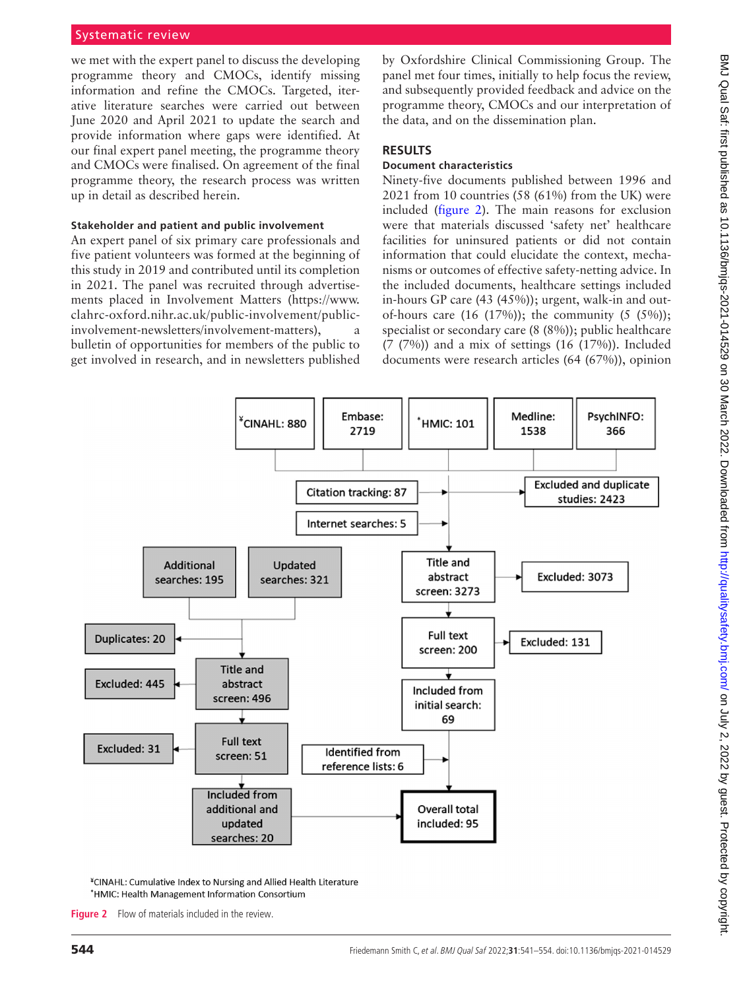we met with the expert panel to discuss the developing programme theory and CMOCs, identify missing information and refine the CMOCs. Targeted, iterative literature searches were carried out between June 2020 and April 2021 to update the search and provide information where gaps were identified. At our final expert panel meeting, the programme theory and CMOCs were finalised. On agreement of the final programme theory, the research process was written up in detail as described herein.

## **Stakeholder and patient and public involvement**

An expert panel of six primary care professionals and five patient volunteers was formed at the beginning of this study in 2019 and contributed until its completion in 2021. The panel was recruited through advertisements placed in Involvement Matters [\(https://www.](https://www.clahrc-oxford.nihr.ac.uk/public-involvement/public-involvement-newsletters/involvement-matters) [clahrc-oxford.nihr.ac.uk/public-involvement/public](https://www.clahrc-oxford.nihr.ac.uk/public-involvement/public-involvement-newsletters/involvement-matters)[involvement-newsletters/involvement-matters\)](https://www.clahrc-oxford.nihr.ac.uk/public-involvement/public-involvement-newsletters/involvement-matters), bulletin of opportunities for members of the public to get involved in research, and in newsletters published by Oxfordshire Clinical Commissioning Group. The panel met four times, initially to help focus the review, and subsequently provided feedback and advice on the programme theory, CMOCs and our interpretation of the data, and on the dissemination plan.

# **RESULTS**

# **Document characteristics**

Ninety-five documents published between 1996 and 2021 from 10 countries (58 (61%) from the UK) were included [\(figure](#page-3-0) 2). The main reasons for exclusion were that materials discussed 'safety net' healthcare facilities for uninsured patients or did not contain information that could elucidate the context, mechanisms or outcomes of effective safety-netting advice. In the included documents, healthcare settings included in-hours GP care (43 (45%)); urgent, walk-in and outof-hours care  $(16 (17%))$ ; the community  $(5 (5%))$ ; specialist or secondary care (8 (8%)); public healthcare (7 (7%)) and a mix of settings (16 (17%)). Included documents were research articles (64 (67%)), opinion



<span id="page-3-0"></span>\*CINAHL: Cumulative Index to Nursing and Allied Health Literature \*HMIC: Health Management Information Consortium

**Figure 2** Flow of materials included in the review.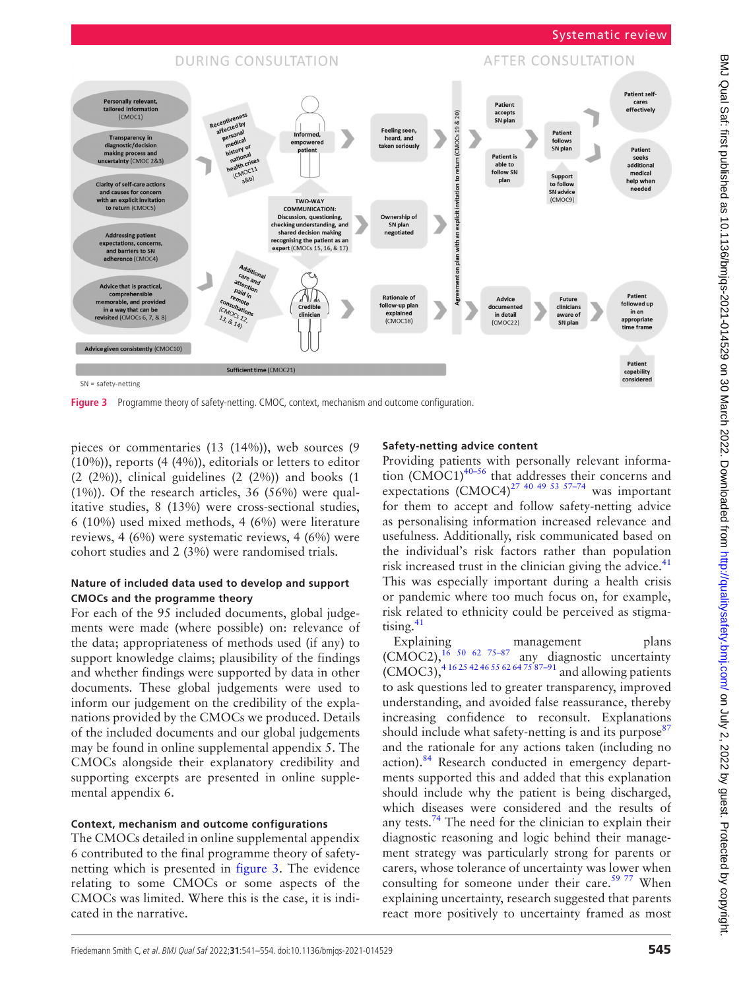

<span id="page-4-0"></span>**Figure 3** Programme theory of safety-netting. CMOC, context, mechanism and outcome configuration.

pieces or commentaries (13 (14%)), web sources (9 (10%)), reports (4 (4%)), editorials or letters to editor (2 (2%)), clinical guidelines (2 (2%)) and books (1 (1%)). Of the research articles, 36 (56%) were qualitative studies, 8 (13%) were cross-sectional studies, 6 (10%) used mixed methods, 4 (6%) were literature reviews, 4 (6%) were systematic reviews, 4 (6%) were cohort studies and 2 (3%) were randomised trials.

# **Nature of included data used to develop and support CMOCs and the programme theory**

For each of the 95 included documents, global judgements were made (where possible) on: relevance of the data; appropriateness of methods used (if any) to support knowledge claims; plausibility of the findings and whether findings were supported by data in other documents. These global judgements were used to inform our judgement on the credibility of the explanations provided by the CMOCs we produced. Details of the included documents and our global judgements may be found in [online supplemental appendix 5](https://dx.doi.org/10.1136/bmjqs-2021-014529). The CMOCs alongside their explanatory credibility and supporting excerpts are presented in [online supple](https://dx.doi.org/10.1136/bmjqs-2021-014529)[mental appendix 6](https://dx.doi.org/10.1136/bmjqs-2021-014529).

# **Context, mechanism and outcome configurations**

The CMOCs detailed in [online supplemental appendix](https://dx.doi.org/10.1136/bmjqs-2021-014529)  [6](https://dx.doi.org/10.1136/bmjqs-2021-014529) contributed to the final programme theory of safetynetting which is presented in [figure](#page-4-0) 3. The evidence relating to some CMOCs or some aspects of the CMOCs was limited. Where this is the case, it is indicated in the narrative.

# **Safety-netting advice content**

Providing patients with personally relevant information (CMOC1) $40-56$  that addresses their concerns and expectations  $(CMOC4)^{27}$  <sup>40 49 53 57–74</sup> was important for them to accept and follow safety-netting advice as personalising information increased relevance and usefulness. Additionally, risk communicated based on the individual's risk factors rather than population risk increased trust in the clinician giving the advice. $41$ This was especially important during a health crisis or pandemic where too much focus on, for example, risk related to ethnicity could be perceived as stigmatising. $41$ 

Explaining management plans<br>(CMOC2),  $^{16}$  50–62–75-87 any diagnostic uncertainty  $(CMOC2)$ ,  $^{16}$   $^{50}$   $^{62}$   $^{75-87}$  any diagnostic uncertainty  $(CMOC3)$ ,  $4162542465562647587-91$  and allowing patients to ask questions led to greater transparency, improved understanding, and avoided false reassurance, thereby increasing confidence to reconsult. Explanations should include what safety-netting is and its purpose<sup>[87](#page-11-0)</sup> and the rationale for any actions taken (including no action).<sup>84</sup> Research conducted in emergency departments supported this and added that this explanation should include why the patient is being discharged, which diseases were considered and the results of any tests.<sup>74</sup> The need for the clinician to explain their diagnostic reasoning and logic behind their management strategy was particularly strong for parents or carers, whose tolerance of uncertainty was lower when consulting for someone under their care. $59\frac{77}{10}$  When explaining uncertainty, research suggested that parents react more positively to uncertainty framed as most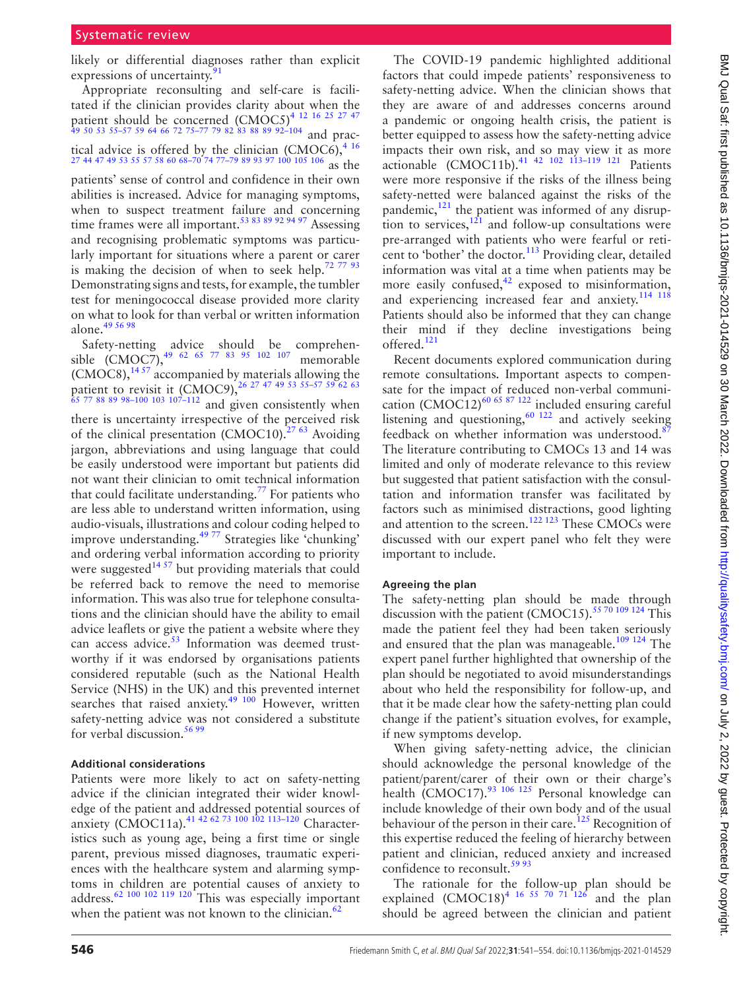likely or differential diagnoses rather than explicit expressions of uncertainty.<sup>[91](#page-11-3)</sup>

Appropriate reconsulting and self-care is facilitated if the clinician provides clarity about when the patient should be concerned  $(CMOC5)^{4}$  12 16 25 27 47 [49 50 53 55–57 59 64 66 72 75–77 79 82 83 88 89 92–104](#page-9-2) and practical advice is offered by the clinician (CMOC6),  $4^{16}$ [27 44 47 49 53 55 57 58 60 68–70 74 77–79 89 93 97 100 105 106](#page-9-2) as the

patients' sense of control and confidence in their own abilities is increased. Advice for managing symptoms, when to suspect treatment failure and concerning time frames were all important.<sup>[53 83 89 92 94 97](#page-10-11)</sup> Assessing and recognising problematic symptoms was particularly important for situations where a parent or carer is making the decision of when to seek help.<sup>72 77 93</sup> Demonstrating signs and tests, for example, the tumbler test for meningococcal disease provided more clarity on what to look for than verbal or written information alone. $49\,56\,98$ 

Safety-netting advice should be comprehensible  $(CMOC7)$ ,<sup>[49 62 65 77 83 95 102 107](#page-10-12)</sup> memorable  $(CMOC8)$ ,  $^{14.57}$  accompanied by materials allowing the patient to revisit it (CMOC9),  $^{26}$  27 47 49 53 55-57 59 62 63 [65 77 88 89 98–100 103 107–112](#page-9-17) and given consistently when there is uncertainty irrespective of the perceived risk of the clinical presentation  $(CMOC10)^{2763}$  Avoiding jargon, abbreviations and using language that could be easily understood were important but patients did not want their clinician to omit technical information that could facilitate understanding.<sup>77</sup> For patients who are less able to understand written information, using audio-visuals, illustrations and colour coding helped to improve understanding.<sup>49 77</sup> Strategies like 'chunking' and ordering verbal information according to priority were suggested<sup>[14 57](#page-9-16)</sup> but providing materials that could be referred back to remove the need to memorise information. This was also true for telephone consultations and the clinician should have the ability to email advice leaflets or give the patient a website where they can access advice. $53$  Information was deemed trustworthy if it was endorsed by organisations patients considered reputable (such as the National Health Service (NHS) in the UK) and this prevented internet searches that raised anxiety.<sup>49 100</sup> However, written safety-netting advice was not considered a substitute for verbal discussion.<sup>[56 99](#page-10-13)</sup>

#### **Additional considerations**

Patients were more likely to act on safety-netting advice if the clinician integrated their wider knowledge of the patient and addressed potential sources of anxiety (CMOC11a).<sup>41 42 62 73 100 102 113-120</sup> Characteristics such as young age, being a first time or single parent, previous missed diagnoses, traumatic experiences with the healthcare system and alarming symptoms in children are potential causes of anxiety to address.<sup>62</sup> <sup>100</sup> <sup>102</sup> <sup>119</sup> <sup>120</sup> <sup>This</sup> was especially important when the patient was not known to the clinician. $62$ 

The COVID-19 pandemic highlighted additional factors that could impede patients' responsiveness to safety-netting advice. When the clinician shows that they are aware of and addresses concerns around a pandemic or ongoing health crisis, the patient is better equipped to assess how the safety-netting advice impacts their own risk, and so may view it as more actionable  $(CMOC11b)$ .<sup>41 42</sup> <sup>102</sup> <sup>113</sup>–1<sup>19</sup> <sup>121</sup> Patients were more responsive if the risks of the illness being safety-netted were balanced against the risks of the pandemic, $^{121}$  the patient was informed of any disruption to services, $12i$  and follow-up consultations were pre-arranged with patients who were fearful or reticent to 'bother' the doctor.<sup>113</sup> Providing clear, detailed information was vital at a time when patients may be more easily confused, $42$  exposed to misinformation, and experiencing increased fear and anxiety.<sup>114 118</sup> Patients should also be informed that they can change their mind if they decline investigations being offered.<sup>[121](#page-12-0)</sup>

Recent documents explored communication during remote consultations. Important aspects to compensate for the impact of reduced non-verbal communi-cation (CMOC12)<sup>[60 65 87 122](#page-10-16)</sup> included ensuring careful listening and questioning,  $60 \frac{122}{2}$  and actively seeking feedback on whether information was understood.<sup>8</sup> The literature contributing to CMOCs 13 and 14 was limited and only of moderate relevance to this review but suggested that patient satisfaction with the consultation and information transfer was facilitated by factors such as minimised distractions, good lighting and attention to the screen.<sup>122 123</sup> These CMOCs were discussed with our expert panel who felt they were important to include.

#### **Agreeing the plan**

The safety-netting plan should be made through discussion with the patient  $(CMOC15)$ .<sup>55 70 109 124</sup> This made the patient feel they had been taken seriously and ensured that the plan was manageable.<sup>[109 124](#page-12-4)</sup> The expert panel further highlighted that ownership of the plan should be negotiated to avoid misunderstandings about who held the responsibility for follow-up, and that it be made clear how the safety-netting plan could change if the patient's situation evolves, for example, if new symptoms develop.

When giving safety-netting advice, the clinician should acknowledge the personal knowledge of the patient/parent/carer of their own or their charge's health (CMOC17). $93 \frac{106}{25}$  Personal knowledge can include knowledge of their own body and of the usual behaviour of the person in their care.<sup>125</sup> Recognition of this expertise reduced the feeling of hierarchy between patient and clinician, reduced anxiety and increased confidence to reconsult. $59\frac{93}{5}$ 

The rationale for the follow-up plan should be explained  $(CMOC18)^{4}$  <sup>16 55 70 71 126</sup> and the plan should be agreed between the clinician and patient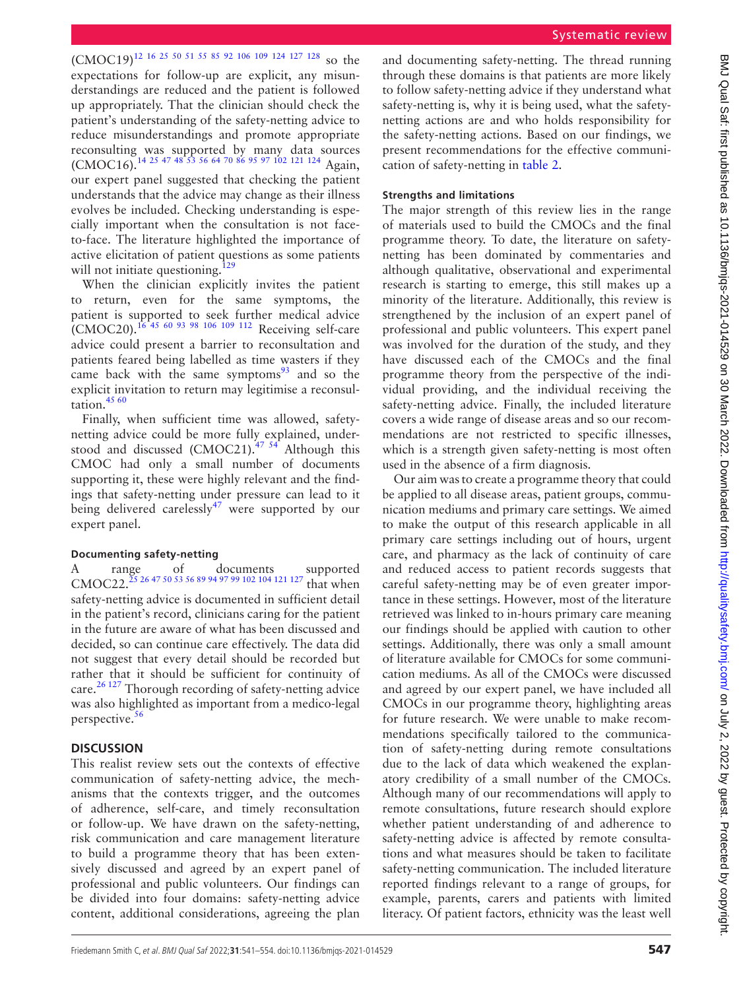(CMOC19)<sup>12</sup> <sup>16</sup> <sup>25</sup> 50 <sup>51</sup> <sup>55</sup> 85 92 106 109 124 127 128 so the expectations for follow-up are explicit, any misunderstandings are reduced and the patient is followed up appropriately. That the clinician should check the patient's understanding of the safety-netting advice to reduce misunderstandings and promote appropriate reconsulting was supported by many data sources (CMOC16).<sup>14 25 47 48 53</sup> 56 64 70 86 95 97 102 121 124 Again, our expert panel suggested that checking the patient understands that the advice may change as their illness evolves be included. Checking understanding is especially important when the consultation is not faceto-face. The literature highlighted the importance of active elicitation of patient questions as some patients will not initiate questioning.<sup>[129](#page-12-6)</sup>

When the clinician explicitly invites the patient return, even for the same symptoms, the patient is supported to seek further medical advice  $\text{LCMOC20}$ .  $^{16}$  45 60 93 98 106 109 112 Receiving self-care advice could present a barrier to reconsultation and patients feared being labelled as time wasters if they came back with the same symptoms $93$  and so the explicit invitation to return may legitimise a reconsul-tation.<sup>[45 60](#page-10-18)</sup>

Finally, when sufficient time was allowed, safetynetting advice could be more fully explained, understood and discussed (CMOC21). $47\frac{54}{1}$  Although this CMOC had only a small number of documents supporting it, these were highly relevant and the findings that safety-netting under pressure can lead to it being delivered carelessly<sup>47</sup> were supported by our expert panel.

#### **Documenting safety-netting**

A range of documents supported CMOC22.<sup>25</sup> 26 47 50 53 56 89 94 97 99 102 104 121 127 that when safety-netting advice is documented in sufficient detail in the patient's record, clinicians caring for the patient in the future are aware of what has been discussed and decided, so can continue care effectively. The data did not suggest that every detail should be recorded but rather that it should be sufficient for continuity of care.<sup>26 127</sup> Thorough recording of safety-netting advice was also highlighted as important from a medico-legal perspective.<sup>[56](#page-10-13)</sup>

## **DISCUSSION**

This realist review sets out the contexts of effective communication of safety-netting advice, the mechanisms that the contexts trigger, and the outcomes of adherence, self-care, and timely reconsultation or follow-up. We have drawn on the safety-netting, risk communication and care management literature to build a programme theory that has been extensively discussed and agreed by an expert panel of professional and public volunteers. Our findings can be divided into four domains: safety-netting advice content, additional considerations, agreeing the plan

and documenting safety-netting. The thread running through these domains is that patients are more likely to follow safety-netting advice if they understand what safety-netting is, why it is being used, what the safetynetting actions are and who holds responsibility for the safety-netting actions. Based on our findings, we present recommendations for the effective communication of safety-netting in [table](#page-7-0) 2.

## **Strengths and limitations**

The major strength of this review lies in the range of materials used to build the CMOCs and the final programme theory. To date, the literature on safetynetting has been dominated by commentaries and although qualitative, observational and experimental research is starting to emerge, this still makes up a minority of the literature. Additionally, this review is strengthened by the inclusion of an expert panel of professional and public volunteers. This expert panel was involved for the duration of the study, and they have discussed each of the CMOCs and the final programme theory from the perspective of the individual providing, and the individual receiving the safety-netting advice. Finally, the included literature covers a wide range of disease areas and so our recommendations are not restricted to specific illnesses, which is a strength given safety-netting is most often used in the absence of a firm diagnosis.

Our aim was to create a programme theory that could be applied to all disease areas, patient groups, communication mediums and primary care settings. We aimed to make the output of this research applicable in all primary care settings including out of hours, urgent care, and pharmacy as the lack of continuity of care and reduced access to patient records suggests that careful safety-netting may be of even greater importance in these settings. However, most of the literature retrieved was linked to in-hours primary care meaning our findings should be applied with caution to other settings. Additionally, there was only a small amount of literature available for CMOCs for some communication mediums. As all of the CMOCs were discussed and agreed by our expert panel, we have included all CMOCs in our programme theory, highlighting areas for future research. We were unable to make recommendations specifically tailored to the communication of safety-netting during remote consultations due to the lack of data which weakened the explanatory credibility of a small number of the CMOCs. Although many of our recommendations will apply to remote consultations, future research should explore whether patient understanding of and adherence to safety-netting advice is affected by remote consultations and what measures should be taken to facilitate safety-netting communication. The included literature reported findings relevant to a range of groups, for example, parents, carers and patients with limited literacy. Of patient factors, ethnicity was the least well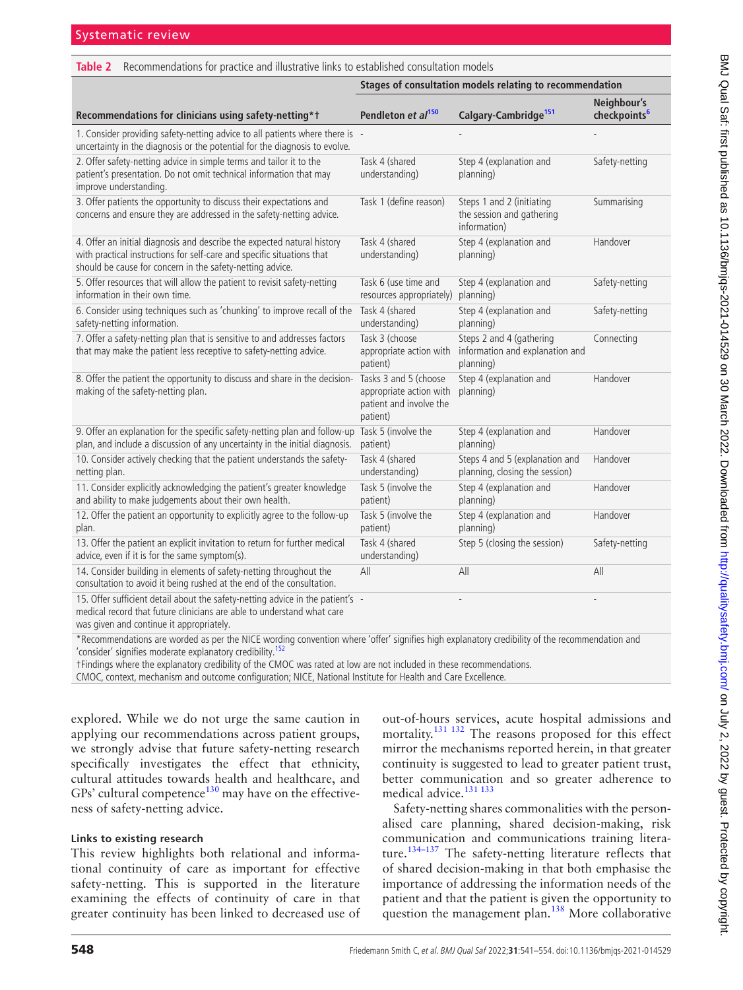<span id="page-7-0"></span>

| Recommendations for practice and illustrative links to established consultation models<br>Table 2                                                                                                              |                                                                                         |                                                                          |                                         |  |
|----------------------------------------------------------------------------------------------------------------------------------------------------------------------------------------------------------------|-----------------------------------------------------------------------------------------|--------------------------------------------------------------------------|-----------------------------------------|--|
|                                                                                                                                                                                                                | Stages of consultation models relating to recommendation                                |                                                                          |                                         |  |
| Recommendations for clinicians using safety-netting*1                                                                                                                                                          | Pendleton et al <sup>150</sup>                                                          | Calgary-Cambridge <sup>151</sup>                                         | Neighbour's<br>checkpoints <sup>6</sup> |  |
| 1. Consider providing safety-netting advice to all patients where there is -<br>uncertainty in the diagnosis or the potential for the diagnosis to evolve.                                                     |                                                                                         |                                                                          |                                         |  |
| 2. Offer safety-netting advice in simple terms and tailor it to the<br>patient's presentation. Do not omit technical information that may<br>improve understanding.                                            | Task 4 (shared<br>understanding)                                                        | Step 4 (explanation and<br>planning)                                     | Safety-netting                          |  |
| 3. Offer patients the opportunity to discuss their expectations and<br>concerns and ensure they are addressed in the safety-netting advice.                                                                    | Task 1 (define reason)                                                                  | Steps 1 and 2 (initiating<br>the session and gathering<br>information)   | Summarising                             |  |
| 4. Offer an initial diagnosis and describe the expected natural history<br>with practical instructions for self-care and specific situations that<br>should be cause for concern in the safety-netting advice. | Task 4 (shared<br>understanding)                                                        | Step 4 (explanation and<br>planning)                                     | Handover                                |  |
| 5. Offer resources that will allow the patient to revisit safety-netting<br>information in their own time.                                                                                                     | Task 6 (use time and<br>resources appropriately)                                        | Step 4 (explanation and<br>planning)                                     | Safety-netting                          |  |
| 6. Consider using techniques such as 'chunking' to improve recall of the<br>safety-netting information.                                                                                                        | Task 4 (shared<br>understanding)                                                        | Step 4 (explanation and<br>planning)                                     | Safety-netting                          |  |
| 7. Offer a safety-netting plan that is sensitive to and addresses factors<br>that may make the patient less receptive to safety-netting advice.                                                                | Task 3 (choose<br>appropriate action with<br>patient)                                   | Steps 2 and 4 (gathering<br>information and explanation and<br>planning) | Connecting                              |  |
| 8. Offer the patient the opportunity to discuss and share in the decision-<br>making of the safety-netting plan.                                                                                               | Tasks 3 and 5 (choose<br>appropriate action with<br>patient and involve the<br>patient) | Step 4 (explanation and<br>planning)                                     | Handover                                |  |
| 9. Offer an explanation for the specific safety-netting plan and follow-up<br>plan, and include a discussion of any uncertainty in the initial diagnosis.                                                      | Task 5 (involve the<br>patient)                                                         | Step 4 (explanation and<br>planning)                                     | Handover                                |  |
| 10. Consider actively checking that the patient understands the safety-<br>netting plan.                                                                                                                       | Task 4 (shared<br>understanding)                                                        | Steps 4 and 5 (explanation and<br>planning, closing the session)         | Handover                                |  |
| 11. Consider explicitly acknowledging the patient's greater knowledge<br>and ability to make judgements about their own health.                                                                                | Task 5 (involve the<br>patient)                                                         | Step 4 (explanation and<br>planning)                                     | Handover                                |  |
| 12. Offer the patient an opportunity to explicitly agree to the follow-up<br>plan.                                                                                                                             | Task 5 (involve the<br>patient)                                                         | Step 4 (explanation and<br>planning)                                     | Handover                                |  |
| 13. Offer the patient an explicit invitation to return for further medical<br>advice, even if it is for the same symptom(s).                                                                                   | Task 4 (shared<br>understanding)                                                        | Step 5 (closing the session)                                             | Safety-netting                          |  |
| 14. Consider building in elements of safety-netting throughout the<br>consultation to avoid it being rushed at the end of the consultation.                                                                    | All                                                                                     | All                                                                      | All                                     |  |
| 15. Offer sufficient detail about the safety-netting advice in the patient's -<br>medical record that future clinicians are able to understand what care<br>was given and continue it appropriately.           |                                                                                         |                                                                          |                                         |  |

\*Recommendations are worded as per the NICE wording convention where 'offer' signifies high explanatory credibility of the recommendation and 'consider' signifies moderate explanatory credibility.<sup>152</sup>

†Findings where the explanatory credibility of the CMOC was rated at low are not included in these recommendations.

CMOC, context, mechanism and outcome configuration; NICE, National Institute for Health and Care Excellence.

explored. While we do not urge the same caution in applying our recommendations across patient groups, we strongly advise that future safety-netting research specifically investigates the effect that ethnicity, cultural attitudes towards health and healthcare, and GPs' cultural competence $130$  may have on the effectiveness of safety-netting advice.

## **Links to existing research**

This review highlights both relational and informational continuity of care as important for effective safety-netting. This is supported in the literature examining the effects of continuity of care in that greater continuity has been linked to decreased use of out-of-hours services, acute hospital admissions and mortality.<sup>131 132</sup> The reasons proposed for this effect mirror the mechanisms reported herein, in that greater continuity is suggested to lead to greater patient trust, better communication and so greater adherence to medical advice.<sup>131 133</sup>

Safety-netting shares commonalities with the personalised care planning, shared decision-making, risk communication and communications training literature.<sup>134-137</sup> The safety-netting literature reflects that of shared decision-making in that both emphasise the importance of addressing the information needs of the patient and that the patient is given the opportunity to question the management plan.<sup>138</sup> More collaborative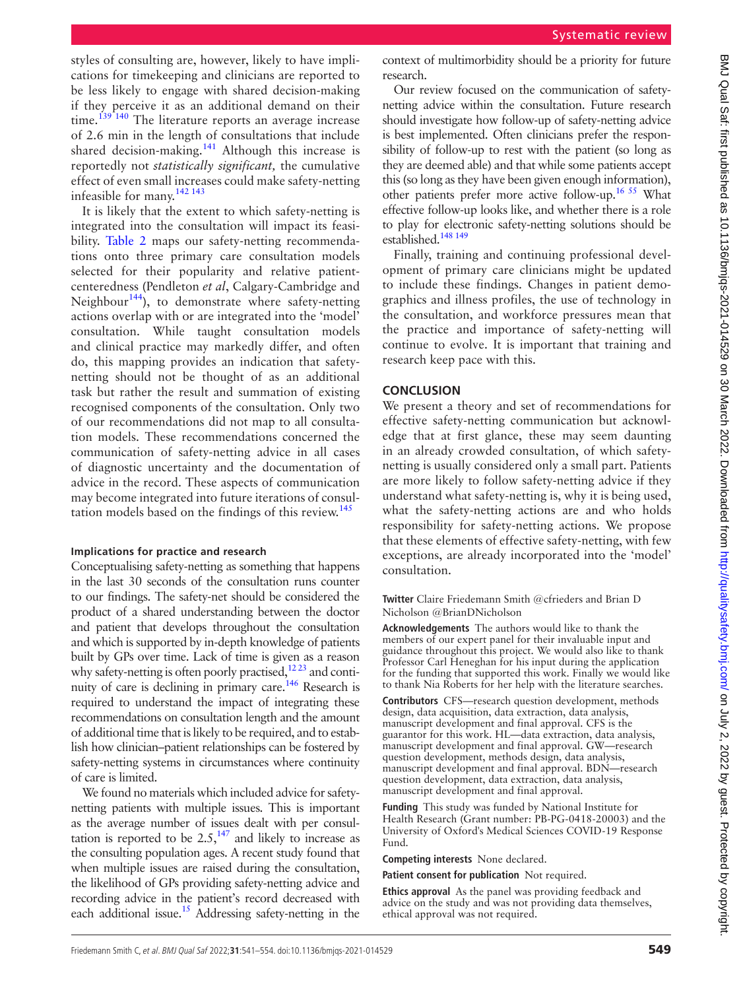styles of consulting are, however, likely to have implications for timekeeping and clinicians are reported to be less likely to engage with shared decision-making if they perceive it as an additional demand on their time.<sup>[139 140](#page-12-11)</sup> The literature reports an average increase of 2.6 min in the length of consultations that include shared decision-making.<sup>141</sup> Although this increase is reportedly not *statistically significant,* the cumulative effect of even small increases could make safety-netting infeasible for many.<sup>[142 143](#page-13-4)</sup>

It is likely that the extent to which safety-netting is integrated into the consultation will impact its feasibility. [Table](#page-7-0) 2 maps our safety-netting recommendations onto three primary care consultation models selected for their popularity and relative patientcenteredness (Pendleton *et al*, Calgary-Cambridge and Neighbour<sup>[144](#page-13-5)</sup>), to demonstrate where safety-netting actions overlap with or are integrated into the 'model' consultation. While taught consultation models and clinical practice may markedly differ, and often do, this mapping provides an indication that safetynetting should not be thought of as an additional task but rather the result and summation of existing recognised components of the consultation. Only two of our recommendations did not map to all consultation models. These recommendations concerned the communication of safety-netting advice in all cases of diagnostic uncertainty and the documentation of advice in the record. These aspects of communication may become integrated into future iterations of consul-tation models based on the findings of this review.<sup>[145](#page-13-6)</sup>

#### **Implications for practice and research**

Conceptualising safety-netting as something that happens in the last 30 seconds of the consultation runs counter to our findings. The safety-net should be considered the product of a shared understanding between the doctor and patient that develops throughout the consultation and which is supported by in-depth knowledge of patients built by GPs over time. Lack of time is given as a reason why safety-netting is often poorly practised, $1223$  and continuity of care is declining in primary care.<sup>146</sup> Research is required to understand the impact of integrating these recommendations on consultation length and the amount of additional time that is likely to be required, and to establish how clinician–patient relationships can be fostered by safety-netting systems in circumstances where continuity of care is limited.

We found no materials which included advice for safetynetting patients with multiple issues. This is important as the average number of issues dealt with per consultation is reported to be  $2.5$ ,<sup>147</sup> and likely to increase as the consulting population ages. A recent study found that when multiple issues are raised during the consultation, the likelihood of GPs providing safety-netting advice and recording advice in the patient's record decreased with each additional issue.<sup>15</sup> Addressing safety-netting in the

context of multimorbidity should be a priority for future research.

Our review focused on the communication of safetynetting advice within the consultation. Future research should investigate how follow-up of safety-netting advice is best implemented. Often clinicians prefer the responsibility of follow-up to rest with the patient (so long as they are deemed able) and that while some patients accept this (so long as they have been given enough information), other patients prefer more active follow-up.<sup>16 55</sup> What effective follow-up looks like, and whether there is a role to play for electronic safety-netting solutions should be established.<sup>148 149</sup>

Finally, training and continuing professional development of primary care clinicians might be updated to include these findings. Changes in patient demographics and illness profiles, the use of technology in the consultation, and workforce pressures mean that the practice and importance of safety-netting will continue to evolve. It is important that training and research keep pace with this.

#### **CONCLUSION**

We present a theory and set of recommendations for effective safety-netting communication but acknowledge that at first glance, these may seem daunting in an already crowded consultation, of which safetynetting is usually considered only a small part. Patients are more likely to follow safety-netting advice if they understand what safety-netting is, why it is being used, what the safety-netting actions are and who holds responsibility for safety-netting actions. We propose that these elements of effective safety-netting, with few exceptions, are already incorporated into the 'model' consultation.

**Twitter** Claire Friedemann Smith [@cfrieders](https://twitter.com/cfrieders) and Brian D Nicholson [@BrianDNicholson](https://twitter.com/BrianDNicholson)

**Acknowledgements** The authors would like to thank the members of our expert panel for their invaluable input and guidance throughout this project. We would also like to thank Professor Carl Heneghan for his input during the application for the funding that supported this work. Finally we would like to thank Nia Roberts for her help with the literature searches.

**Contributors** CFS—research question development, methods design, data acquisition, data extraction, data analysis, manuscript development and final approval. CFS is the guarantor for this work. HL—data extraction, data analysis, manuscript development and final approval. GW—research question development, methods design, data analysis, manuscript development and final approval. BDN—research question development, data extraction, data analysis, manuscript development and final approval.

**Funding** This study was funded by National Institute for Health Research (Grant number: PB-PG-0418-20003) and the University of Oxford's Medical Sciences COVID-19 Response Fund.

**Competing interests** None declared.

**Patient consent for publication** Not required.

**Ethics approval** As the panel was providing feedback and advice on the study and was not providing data themselves, ethical approval was not required.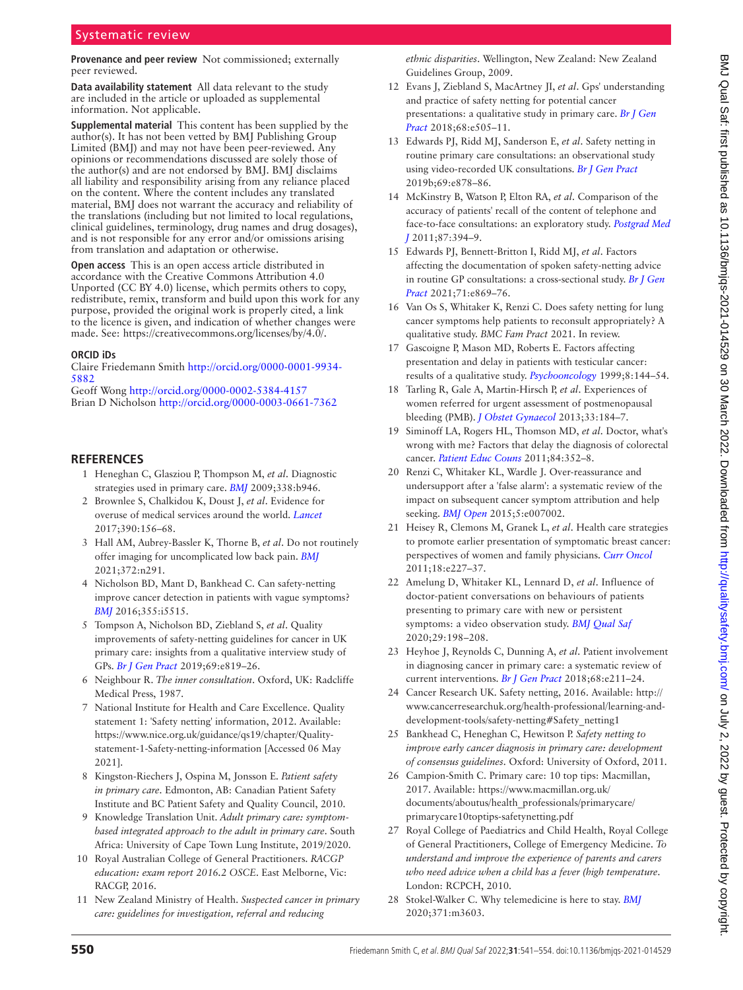#### **Provenance and peer review** Not commissioned; externally peer reviewed.

**Data availability statement** All data relevant to the study are included in the article or uploaded as supplemental information. Not applicable.

**Supplemental material** This content has been supplied by the author(s). It has not been vetted by BMJ Publishing Group Limited (BMJ) and may not have been peer-reviewed. Any opinions or recommendations discussed are solely those of the author(s) and are not endorsed by BMJ. BMJ disclaims all liability and responsibility arising from any reliance placed on the content. Where the content includes any translated material, BMJ does not warrant the accuracy and reliability of the translations (including but not limited to local regulations, clinical guidelines, terminology, drug names and drug dosages), and is not responsible for any error and/or omissions arising from translation and adaptation or otherwise.

**Open access** This is an open access article distributed in accordance with the Creative Commons Attribution 4.0 Unported (CC BY 4.0) license, which permits others to copy, redistribute, remix, transform and build upon this work for any purpose, provided the original work is properly cited, a link to the licence is given, and indication of whether changes were made. See: [https://creativecommons.org/licenses/by/4.0/.](https://creativecommons.org/licenses/by/4.0/)

#### **ORCID iDs**

Claire Friedemann Smith [http://orcid.org/0000-0001-9934-](http://orcid.org/0000-0001-9934-5882) [5882](http://orcid.org/0000-0001-9934-5882)

Geoff Wong <http://orcid.org/0000-0002-5384-4157> Brian D Nicholson <http://orcid.org/0000-0003-0661-7362>

#### <span id="page-9-0"></span>**REFERENCES**

- 1 Heneghan C, Glasziou P, Thompson M, *et al*. Diagnostic strategies used in primary care. *[BMJ](http://dx.doi.org/10.1136/bmj.b946)* 2009;338:b946.
- <span id="page-9-1"></span>2 Brownlee S, Chalkidou K, Doust J, *et al*. Evidence for overuse of medical services around the world. *[Lancet](http://dx.doi.org/10.1016/S0140-6736(16)32585-5)* 2017;390:156–68.
- 3 Hall AM, Aubrey-Bassler K, Thorne B, *et al*. Do not routinely offer imaging for uncomplicated low back pain. *[BMJ](http://dx.doi.org/10.1136/bmj.n291)* 2021;372:n291.
- <span id="page-9-2"></span>4 Nicholson BD, Mant D, Bankhead C. Can safety-netting improve cancer detection in patients with vague symptoms? *[BMJ](http://dx.doi.org/10.1136/bmj.i5515)* 2016;355:i5515.
- 5 Tompson A, Nicholson BD, Ziebland S, *et al*. Quality improvements of safety-netting guidelines for cancer in UK primary care: insights from a qualitative interview study of GPs. *[Br J Gen Pract](http://dx.doi.org/10.3399/bjgp19X706565)* 2019;69:e819–26.
- <span id="page-9-3"></span>6 Neighbour R. *The inner consultation*. Oxford, UK: Radcliffe Medical Press, 1987.
- <span id="page-9-4"></span>7 National Institute for Health and Care Excellence. Quality statement 1: 'Safety netting' information, 2012. Available: [https://www.nice.org.uk/guidance/qs19/chapter/Quality](https://www.nice.org.uk/guidance/qs19/chapter/Quality-statement-1-Safety-netting-information)[statement-1-Safety-netting-information](https://www.nice.org.uk/guidance/qs19/chapter/Quality-statement-1-Safety-netting-information) [Accessed 06 May 2021].
- <span id="page-9-5"></span>8 Kingston-Riechers J, Ospina M, Jonsson E. *Patient safety in primary care*. Edmonton, AB: Canadian Patient Safety Institute and BC Patient Safety and Quality Council, 2010.
- 9 Knowledge Translation Unit. *Adult primary care: symptombased integrated approach to the adult in primary care*. South Africa: University of Cape Town Lung Institute, 2019/2020.
- <span id="page-9-6"></span>10 Royal Australian College of General Practitioners. *RACGP education: exam report 2016.2 OSCE*. East Melborne, Vic: RACGP, 2016.
- <span id="page-9-7"></span>11 New Zealand Ministry of Health. *Suspected cancer in primary care: guidelines for investigation, referral and reducing*

*ethnic disparities*. Wellington, New Zealand: New Zealand Guidelines Group, 2009.

- <span id="page-9-8"></span>12 Evans J, Ziebland S, MacArtney JI, *et al*. Gps' understanding and practice of safety netting for potential cancer presentations: a qualitative study in primary care. *[Br J Gen](http://dx.doi.org/10.3399/bjgp18X696233)  [Pract](http://dx.doi.org/10.3399/bjgp18X696233)* 2018;68:e505–11.
- 13 Edwards PJ, Ridd MJ, Sanderson E, *et al*. Safety netting in routine primary care consultations: an observational study using video-recorded UK consultations. *[Br J Gen Pract](http://dx.doi.org/10.3399/bjgp19X706601)* 2019b;69:e878–86.
- <span id="page-9-16"></span>14 McKinstry B, Watson P, Elton RA, *et al*. Comparison of the accuracy of patients' recall of the content of telephone and face-to-face consultations: an exploratory study. *[Postgrad Med](http://dx.doi.org/10.1136/pgmj.2010.101287)  [J](http://dx.doi.org/10.1136/pgmj.2010.101287)* 2011;87:394–9.
- <span id="page-9-19"></span>15 Edwards PJ, Bennett-Britton I, Ridd MJ, *et al*. Factors affecting the documentation of spoken safety-netting advice in routine GP consultations: a cross-sectional study. *[Br J Gen](http://dx.doi.org/10.3399/BJGP.2021.0195)  [Pract](http://dx.doi.org/10.3399/BJGP.2021.0195)* 2021;71:e869–76.
- <span id="page-9-9"></span>16 Van Os S, Whitaker K, Renzi C. Does safety netting for lung cancer symptoms help patients to reconsult appropriately? A qualitative study. *BMC Fam Pract* 2021. In review.
- <span id="page-9-10"></span>17 Gascoigne P, Mason MD, Roberts E. Factors affecting presentation and delay in patients with testicular cancer: results of a qualitative study. *[Psychooncology](http://dx.doi.org/10.1002/(SICI)1099-1611(199903/04)8:2<144::AID-PON349>3.0.CO;2-P)* 1999;8:144–54.
- 18 Tarling R, Gale A, Martin-Hirsch P, *et al*. Experiences of women referred for urgent assessment of postmenopausal bleeding (PMB). *[J Obstet Gynaecol](http://dx.doi.org/10.3109/01443615.2012.740529)* 2013;33:184–7.
- <span id="page-9-11"></span>19 Siminoff LA, Rogers HL, Thomson MD, *et al*. Doctor, what's wrong with me? Factors that delay the diagnosis of colorectal cancer. *[Patient Educ Couns](http://dx.doi.org/10.1016/j.pec.2011.05.002)* 2011;84:352–8.
- 20 Renzi C, Whitaker KL, Wardle J. Over-reassurance and undersupport after a 'false alarm': a systematic review of the impact on subsequent cancer symptom attribution and help seeking. *[BMJ Open](http://dx.doi.org/10.1136/bmjopen-2014-007002)* 2015;5:e007002.
- 21 Heisey R, Clemons M, Granek L, *et al*. Health care strategies to promote earlier presentation of symptomatic breast cancer: perspectives of women and family physicians. *[Curr Oncol](http://dx.doi.org/10.3747/co.v18i5.869)* 2011;18:e227–37.
- 22 Amelung D, Whitaker KL, Lennard D, *et al*. Influence of doctor-patient conversations on behaviours of patients presenting to primary care with new or persistent symptoms: a video observation study. *[BMJ Qual Saf](http://dx.doi.org/10.1136/bmjqs-2019-009485)* 2020;29:198–208.
- <span id="page-9-12"></span>23 Heyhoe J, Reynolds C, Dunning A, *et al*. Patient involvement in diagnosing cancer in primary care: a systematic review of current interventions. *[Br J Gen Pract](http://dx.doi.org/10.3399/bjgp18X695045)* 2018;68:e211–24.
- <span id="page-9-13"></span>24 Cancer Research UK. Safety netting, 2016. Available: [http://](http://www.cancerresearchuk.org/health-professional/learning-and-development-tools/safety-netting#Safety_netting1) [www.cancerresearchuk.org/health-professional/learning-and](http://www.cancerresearchuk.org/health-professional/learning-and-development-tools/safety-netting#Safety_netting1)[development-tools/safety-netting#Safety\\_netting1](http://www.cancerresearchuk.org/health-professional/learning-and-development-tools/safety-netting#Safety_netting1)
- <span id="page-9-18"></span>25 Bankhead C, Heneghan C, Hewitson P. *Safety netting to improve early cancer diagnosis in primary care: development of consensus guidelines*. Oxford: University of Oxford, 2011.
- <span id="page-9-17"></span>26 Campion-Smith C. Primary care: 10 top tips: Macmillan, 2017. Available: [https://www.macmillan.org.uk/](https://www.macmillan.org.uk/documents/aboutus/health_professionals/primarycare/primarycare10toptips-safetynetting.pdf) [documents/aboutus/health\\_professionals/primarycare/](https://www.macmillan.org.uk/documents/aboutus/health_professionals/primarycare/primarycare10toptips-safetynetting.pdf) [primarycare10toptips-safetynetting.pdf](https://www.macmillan.org.uk/documents/aboutus/health_professionals/primarycare/primarycare10toptips-safetynetting.pdf)
- <span id="page-9-15"></span>27 Royal College of Paediatrics and Child Health, Royal College of General Practitioners, College of Emergency Medicine. *To understand and improve the experience of parents and carers who need advice when a child has a fever (high temperature*. London: RCPCH, 2010.
- <span id="page-9-14"></span>28 Stokel-Walker C. Why telemedicine is here to stay. *[BMJ](http://dx.doi.org/10.1136/bmj.m3603)* 2020;371:m3603.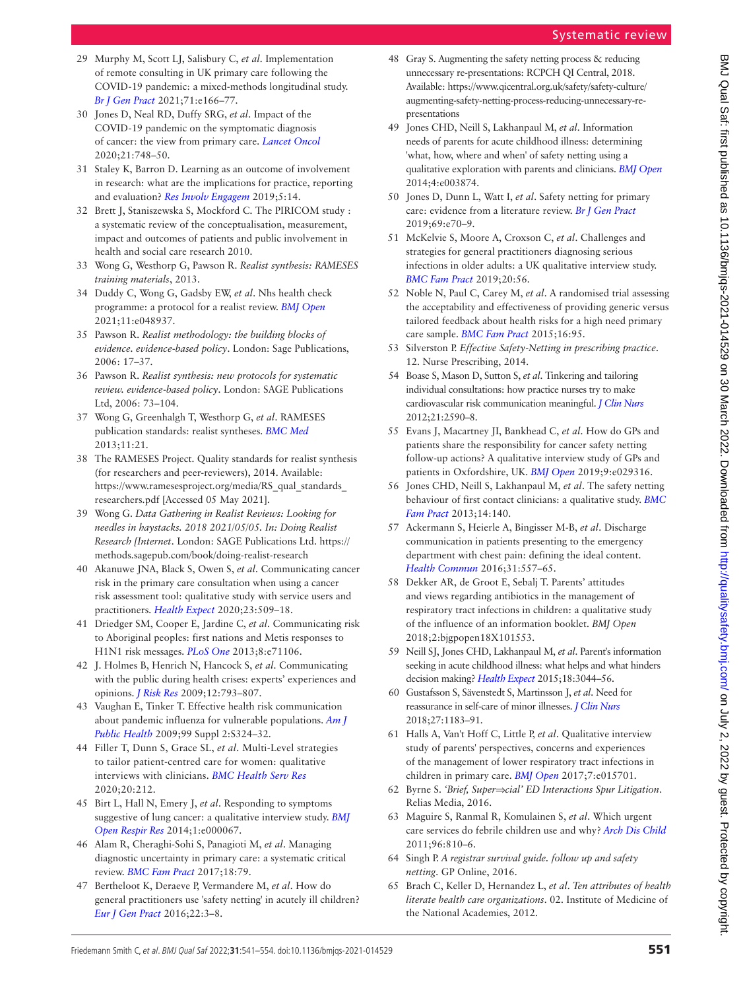- <span id="page-10-0"></span>29 Murphy M, Scott LJ, Salisbury C, *et al*. Implementation of remote consulting in UK primary care following the COVID-19 pandemic: a mixed-methods longitudinal study. *[Br J Gen Pract](http://dx.doi.org/10.3399/BJGP.2020.0948)* 2021;71:e166–77.
- 30 Jones D, Neal RD, Duffy SRG, *et al*. Impact of the COVID-19 pandemic on the symptomatic diagnosis of cancer: the view from primary care. *[Lancet Oncol](http://dx.doi.org/10.1016/S1470-2045(20)30242-4)* 2020;21:748–50.
- <span id="page-10-1"></span>31 Staley K, Barron D. Learning as an outcome of involvement in research: what are the implications for practice, reporting and evaluation? *[Res Involv Engagem](http://dx.doi.org/10.1186/s40900-019-0147-1)* 2019;5:14.
- 32 Brett J, Staniszewska S, Mockford C. The PIRICOM study : a systematic review of the conceptualisation, measurement, impact and outcomes of patients and public involvement in health and social care research 2010.
- <span id="page-10-2"></span>33 Wong G, Westhorp G, Pawson R. *Realist synthesis: RAMESES training materials*, 2013.
- <span id="page-10-3"></span>34 Duddy C, Wong G, Gadsby EW, *et al*. Nhs health check programme: a protocol for a realist review. *[BMJ Open](http://dx.doi.org/10.1136/bmjopen-2021-048937)* 2021;11:e048937.
- <span id="page-10-4"></span>35 Pawson R. *Realist methodology: the building blocks of evidence. evidence-based policy*. London: Sage Publications, 2006: 17–37.
- <span id="page-10-5"></span>36 Pawson R. *Realist synthesis: new protocols for systematic review. evidence-based policy*. London: SAGE Publications Ltd, 2006: 73–104.
- <span id="page-10-6"></span>37 Wong G, Greenhalgh T, Westhorp G, *et al*. RAMESES publication standards: realist syntheses. *[BMC Med](http://dx.doi.org/10.1186/1741-7015-11-21)* 2013;11:21.
- 38 The RAMESES Project. Quality standards for realist synthesis (for researchers and peer-reviewers), 2014. Available: [https://www.ramesesproject.org/media/RS\\_qual\\_standards\\_](https://www.ramesesproject.org/media/RS_qual_standards_researchers.pdf) [researchers.pdf](https://www.ramesesproject.org/media/RS_qual_standards_researchers.pdf) [Accessed 05 May 2021].
- <span id="page-10-7"></span>39 Wong G. *Data Gathering in Realist Reviews: Looking for needles in haystacks. 2018 2021/05/05. In: Doing Realist Research [Internet*. London: SAGE Publications Ltd. [https://](https://methods.sagepub.com/book/doing-realist-research) [methods.sagepub.com/book/doing-realist-research](https://methods.sagepub.com/book/doing-realist-research)
- <span id="page-10-8"></span>40 Akanuwe JNA, Black S, Owen S, *et al*. Communicating cancer risk in the primary care consultation when using a cancer risk assessment tool: qualitative study with service users and practitioners. *[Health Expect](http://dx.doi.org/10.1111/hex.13016)* 2020;23:509–18.
- <span id="page-10-9"></span>41 Driedger SM, Cooper E, Jardine C, *et al*. Communicating risk to Aboriginal peoples: first nations and Metis responses to H1N1 risk messages. *[PLoS One](http://dx.doi.org/10.1371/journal.pone.0071106)* 2013;8:e71106.
- <span id="page-10-15"></span>42 J. Holmes B, Henrich N, Hancock S, *et al*. Communicating with the public during health crises: experts' experiences and opinions. *[J Risk Res](http://dx.doi.org/10.1080/13669870802648486)* 2009;12:793–807.
- 43 Vaughan E, Tinker T. Effective health risk communication about pandemic influenza for vulnerable populations. *[Am J](http://dx.doi.org/10.2105/AJPH.2009.162537)  [Public Health](http://dx.doi.org/10.2105/AJPH.2009.162537)* 2009;99 Suppl 2:S324–32.
- 44 Filler T, Dunn S, Grace SL, *et al*. Multi-Level strategies to tailor patient-centred care for women: qualitative interviews with clinicians. *[BMC Health Serv Res](http://dx.doi.org/10.1186/s12913-020-05082-z)* 2020;20:212.
- <span id="page-10-18"></span>45 Birt L, Hall N, Emery J, *et al*. Responding to symptoms suggestive of lung cancer: a qualitative interview study. *[BMJ](http://dx.doi.org/10.1136/bmjresp-2014-000067)  [Open Respir Res](http://dx.doi.org/10.1136/bmjresp-2014-000067)* 2014;1:e000067.
- 46 Alam R, Cheraghi-Sohi S, Panagioti M, *et al*. Managing diagnostic uncertainty in primary care: a systematic critical review. *[BMC Fam Pract](http://dx.doi.org/10.1186/s12875-017-0650-0)* 2017;18:79.
- <span id="page-10-19"></span>47 Bertheloot K, Deraeve P, Vermandere M, *et al*. How do general practitioners use 'safety netting' in acutely ill children? *[Eur J Gen Pract](http://dx.doi.org/10.3109/13814788.2015.1092516)* 2016;22:3–8.
- 48 Gray S. Augmenting the safety netting process & reducing unnecessary re-presentations: RCPCH QI Central, 2018. Available: [https://www.qicentral.org.uk/safety/safety-culture/](https://www.qicentral.org.uk/safety/safety-culture/augmenting-safety-netting-process-reducing-unnecessary-re-presentations) [augmenting-safety-netting-process-reducing-unnecessary-re](https://www.qicentral.org.uk/safety/safety-culture/augmenting-safety-netting-process-reducing-unnecessary-re-presentations)[presentations](https://www.qicentral.org.uk/safety/safety-culture/augmenting-safety-netting-process-reducing-unnecessary-re-presentations)
- <span id="page-10-12"></span>49 Jones CHD, Neill S, Lakhanpaul M, *et al*. Information needs of parents for acute childhood illness: determining 'what, how, where and when' of safety netting using a qualitative exploration with parents and clinicians. *[BMJ Open](http://dx.doi.org/10.1136/bmjopen-2013-003874)* 2014;4:e003874.
- 50 Jones D, Dunn L, Watt I, *et al*. Safety netting for primary care: evidence from a literature review. *[Br J Gen Pract](http://dx.doi.org/10.3399/bjgp18X700193)* 2019;69:e70–9.
- 51 McKelvie S, Moore A, Croxson C, *et al*. Challenges and strategies for general practitioners diagnosing serious infections in older adults: a UK qualitative interview study. *[BMC Fam Pract](http://dx.doi.org/10.1186/s12875-019-0941-8)* 2019;20:56.
- 52 Noble N, Paul C, Carey M, *et al*. A randomised trial assessing the acceptability and effectiveness of providing generic versus tailored feedback about health risks for a high need primary care sample. *[BMC Fam Pract](http://dx.doi.org/10.1186/s12875-015-0309-7)* 2015;16:95.
- <span id="page-10-11"></span>53 Silverston P. *Effective Safety-Netting in prescribing practice*. 12. Nurse Prescribing, 2014.
- 54 Boase S, Mason D, Sutton S, *et al*. Tinkering and tailoring individual consultations: how practice nurses try to make cardiovascular risk communication meaningful. *[J Clin Nurs](http://dx.doi.org/10.1111/j.1365-2702.2012.04167.x)* 2012;21:2590–8.
- <span id="page-10-17"></span>55 Evans J, Macartney JI, Bankhead C, *et al*. How do GPs and patients share the responsibility for cancer safety netting follow-up actions? A qualitative interview study of GPs and patients in Oxfordshire, UK. *[BMJ Open](http://dx.doi.org/10.1136/bmjopen-2019-029316)* 2019;9:e029316.
- <span id="page-10-13"></span>56 Jones CHD, Neill S, Lakhanpaul M, *et al*. The safety netting behaviour of first contact clinicians: a qualitative study. *[BMC](http://dx.doi.org/10.1186/1471-2296-14-140)  [Fam Pract](http://dx.doi.org/10.1186/1471-2296-14-140)* 2013;14:140.
- 57 Ackermann S, Heierle A, Bingisser M-B, *et al*. Discharge communication in patients presenting to the emergency department with chest pain: defining the ideal content. *[Health Commun](http://dx.doi.org/10.1080/10410236.2014.979115)* 2016;31:557–65.
- 58 Dekker AR, de Groot E, Sebalj T. Parents' attitudes and views regarding antibiotics in the management of respiratory tract infections in children: a qualitative study of the influence of an information booklet. *BMJ Open* 2018;2:bjgpopen18X101553.
- <span id="page-10-10"></span>59 Neill SJ, Jones CHD, Lakhanpaul M, *et al*. Parent's information seeking in acute childhood illness: what helps and what hinders decision making? *[Health Expect](http://dx.doi.org/10.1111/hex.12289)* 2015;18:3044–56.
- <span id="page-10-16"></span>60 Gustafsson S, Sävenstedt S, Martinsson J, *et al*. Need for reassurance in self-care of minor illnesses. *[J Clin Nurs](http://dx.doi.org/10.1111/jocn.14157)* 2018;27:1183–91.
- 61 Halls A, Van't Hoff C, Little P, *et al*. Qualitative interview study of parents' perspectives, concerns and experiences of the management of lower respiratory tract infections in children in primary care. *[BMJ Open](http://dx.doi.org/10.1136/bmjopen-2016-015701)* 2017;7:e015701.
- <span id="page-10-14"></span>62 Byrne S. *'Brief, Superficial' ED Interactions Spur Litigation*. Relias Media, 2016.
- 63 Maguire S, Ranmal R, Komulainen S, *et al*. Which urgent care services do febrile children use and why? *[Arch Dis Child](http://dx.doi.org/10.1136/adc.2010.210096)* 2011;96:810–6.
- 64 Singh P. *A registrar survival guide. follow up and safety netting*. GP Online, 2016.
- 65 Brach C, Keller D, Hernandez L, *et al*. *[Ten attributes of health](http://dx.doi.org/10.31478/201206a) [literate health care organizations](http://dx.doi.org/10.31478/201206a)*. 02. Institute of Medicine of the National Academies, 2012.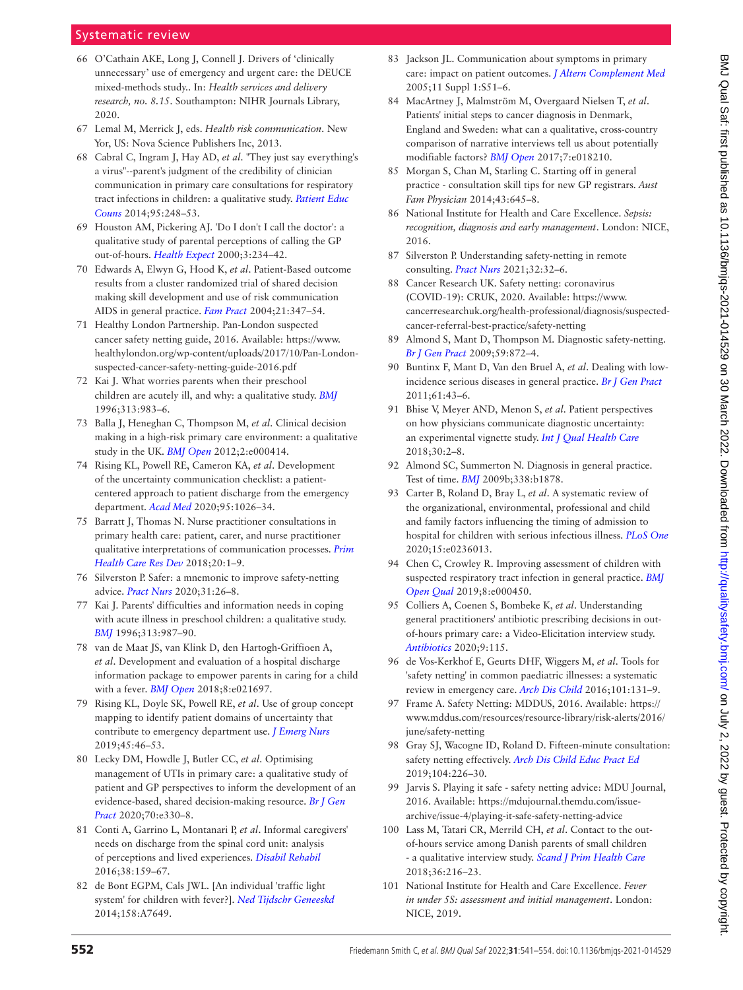- 66 O'Cathain AKE, Long J, Connell J. Drivers of 'clinically unnecessary' use of emergency and urgent care: the DEUCE mixed-methods study.. In: *Health services and delivery research, no. 8.15*. Southampton: NIHR Journals Library, 2020.
- 67 Lemal M, Merrick J, eds. *Health risk communication*. New Yor, US: Nova Science Publishers Inc, 2013.
- 68 Cabral C, Ingram J, Hay AD, *et al*. "They just say everything's a virus"--parent's judgment of the credibility of clinician communication in primary care consultations for respiratory tract infections in children: a qualitative study. *[Patient Educ](http://dx.doi.org/10.1016/j.pec.2014.01.010)  [Couns](http://dx.doi.org/10.1016/j.pec.2014.01.010)* 2014;95:248–53.
- 69 Houston AM, Pickering AJ. 'Do I don't I call the doctor': a qualitative study of parental perceptions of calling the GP out-of-hours. *[Health Expect](http://dx.doi.org/10.1046/j.1369-6513.2000.00109.x)* 2000;3:234–42.
- 70 Edwards A, Elwyn G, Hood K, *et al*. Patient-Based outcome results from a cluster randomized trial of shared decision making skill development and use of risk communication AIDS in general practice. *[Fam Pract](http://dx.doi.org/10.1093/fampra/cmh402)* 2004;21:347–54.
- 71 Healthy London Partnership. Pan-London suspected cancer safety netting guide, 2016. Available: [https://www.](https://www.healthylondon.org/wp-content/uploads/2017/10/Pan-London-suspected-cancer-safety-netting-guide-2016.pdf) [healthylondon.org/wp-content/uploads/2017/10/Pan-London](https://www.healthylondon.org/wp-content/uploads/2017/10/Pan-London-suspected-cancer-safety-netting-guide-2016.pdf)[suspected-cancer-safety-netting-guide-2016.pdf](https://www.healthylondon.org/wp-content/uploads/2017/10/Pan-London-suspected-cancer-safety-netting-guide-2016.pdf)
- <span id="page-11-4"></span>72 Kai J. What worries parents when their preschool children are acutely ill, and why: a qualitative study. *[BMJ](http://dx.doi.org/10.1136/bmj.313.7063.983)* 1996;313:983–6.
- 73 Balla J, Heneghan C, Thompson M, *et al*. Clinical decision making in a high-risk primary care environment: a qualitative study in the UK. *[BMJ Open](http://dx.doi.org/10.1136/bmjopen-2011-000414)* 2012;2:e000414.
- <span id="page-11-2"></span>74 Rising KL, Powell RE, Cameron KA, *et al*. Development of the uncertainty communication checklist: a patientcentered approach to patient discharge from the emergency department. *[Acad Med](http://dx.doi.org/10.1097/ACM.0000000000003231)* 2020;95:1026–34.
- 75 Barratt J, Thomas N. Nurse practitioner consultations in primary health care: patient, carer, and nurse practitioner qualitative interpretations of communication processes. *[Prim](http://dx.doi.org/10.1017/S1463423618000798)  [Health Care Res Dev](http://dx.doi.org/10.1017/S1463423618000798)* 2018;20:1–9.
- 76 Silverston P. Safer: a mnemonic to improve safety-netting advice. *[Pract Nurs](http://dx.doi.org/10.12968/pnur.2020.31.1.26)* 2020;31:26–8.
- <span id="page-11-5"></span>77 Kai J. Parents' difficulties and information needs in coping with acute illness in preschool children: a qualitative study. *[BMJ](http://dx.doi.org/10.1136/bmj.313.7063.987)* 1996;313:987–90.
- 78 van de Maat JS, van Klink D, den Hartogh-Griffioen A, *et al*. Development and evaluation of a hospital discharge information package to empower parents in caring for a child with a fever. *[BMJ Open](http://dx.doi.org/10.1136/bmjopen-2018-021697)* 2018;8:e021697.
- 79 Rising KL, Doyle SK, Powell RE, *et al*. Use of group concept mapping to identify patient domains of uncertainty that contribute to emergency department use. *[J Emerg Nurs](http://dx.doi.org/10.1016/j.jen.2018.05.015)* 2019;45:46–53.
- 80 Lecky DM, Howdle J, Butler CC, *et al*. Optimising management of UTIs in primary care: a qualitative study of patient and GP perspectives to inform the development of an evidence-based, shared decision-making resource. *[Br J Gen](http://dx.doi.org/10.3399/bjgp20X708173)  [Pract](http://dx.doi.org/10.3399/bjgp20X708173)* 2020;70:e330–8.
- 81 Conti A, Garrino L, Montanari P, *et al*. Informal caregivers' needs on discharge from the spinal cord unit: analysis of perceptions and lived experiences. *[Disabil Rehabil](http://dx.doi.org/10.3109/09638288.2015.1031287)* 2016;38:159–67.
- 82 de Bont EGPM, Cals JWL. [An individual 'traffic light system' for children with fever?]. *[Ned Tijdschr Geneeskd](http://www.ncbi.nlm.nih.gov/pubmed/24754933)* 2014;158:A7649.
- 83 Jackson JL. Communication about symptoms in primary care: impact on patient outcomes. *[J Altern Complement Med](http://dx.doi.org/10.1089/acm.2005.11.s-51)* 2005;11 Suppl 1:S51–6.
- <span id="page-11-1"></span>84 MacArtney J, Malmström M, Overgaard Nielsen T, *et al*. Patients' initial steps to cancer diagnosis in Denmark, England and Sweden: what can a qualitative, cross-country comparison of narrative interviews tell us about potentially modifiable factors? *[BMJ Open](http://dx.doi.org/10.1136/bmjopen-2017-018210)* 2017;7:e018210.
- 85 Morgan S, Chan M, Starling C. Starting off in general practice - consultation skill tips for new GP registrars. *Aust Fam Physician* 2014;43:645–8.
- 86 National Institute for Health and Care Excellence. *Sepsis: recognition, diagnosis and early management*. London: NICE, 2016.
- <span id="page-11-0"></span>87 Silverston P. Understanding safety-netting in remote consulting. *[Pract Nurs](http://dx.doi.org/10.12968/pnur.2021.32.1.32)* 2021;32:32–6.
- 88 Cancer Research UK. Safety netting: coronavirus (COVID-19): CRUK, 2020. Available: [https://www.](https://www.cancerresearchuk.org/health-professional/diagnosis/suspected-cancer-referral-best-practice/safety-netting) [cancerresearchuk.org/health-professional/diagnosis/suspected](https://www.cancerresearchuk.org/health-professional/diagnosis/suspected-cancer-referral-best-practice/safety-netting)[cancer-referral-best-practice/safety-netting](https://www.cancerresearchuk.org/health-professional/diagnosis/suspected-cancer-referral-best-practice/safety-netting)
- 89 Almond S, Mant D, Thompson M. Diagnostic safety-netting. *[Br J Gen Pract](http://dx.doi.org/10.3399/bjgp09X472971)* 2009;59:872–4.
- 90 Buntinx F, Mant D, Van den Bruel A, *et al*. Dealing with lowincidence serious diseases in general practice. *[Br J Gen Pract](http://dx.doi.org/10.3399/bjgp11X548974)* 2011;61:43–6.
- <span id="page-11-3"></span>91 Bhise V, Meyer AND, Menon S, *et al*. Patient perspectives on how physicians communicate diagnostic uncertainty: an experimental vignette study. *[Int J Qual Health Care](http://dx.doi.org/10.1093/intqhc/mzx170)* 2018;30:2–8.
- 92 Almond SC, Summerton N. Diagnosis in general practice. Test of time. *[BMJ](http://dx.doi.org/10.1136/bmj.b1878)* 2009b;338:b1878.
- <span id="page-11-6"></span>93 Carter B, Roland D, Bray L, *et al*. A systematic review of the organizational, environmental, professional and child and family factors influencing the timing of admission to hospital for children with serious infectious illness. *[PLoS One](http://dx.doi.org/10.1371/journal.pone.0236013)* 2020;15:e0236013.
- 94 Chen C, Crowley R. Improving assessment of children with suspected respiratory tract infection in general practice. *[BMJ](http://dx.doi.org/10.1136/bmjoq-2018-000450)  [Open Qual](http://dx.doi.org/10.1136/bmjoq-2018-000450)* 2019;8:e000450.
- 95 Colliers A, Coenen S, Bombeke K, *et al*. Understanding general practitioners' antibiotic prescribing decisions in outof-hours primary care: a Video-Elicitation interview study. *[Antibiotics](http://dx.doi.org/10.3390/antibiotics9030115)* 2020;9:115.
- 96 de Vos-Kerkhof E, Geurts DHF, Wiggers M, *et al*. Tools for 'safety netting' in common paediatric illnesses: a systematic review in emergency care. *[Arch Dis Child](http://dx.doi.org/10.1136/archdischild-2014-306953)* 2016;101:131–9.
- 97 Frame A. Safety Netting: MDDUS, 2016. Available: [https://](https://www.mddus.com/resources/resource-library/risk-alerts/2016/june/safety-netting) [www.mddus.com/resources/resource-library/risk-alerts/2016/](https://www.mddus.com/resources/resource-library/risk-alerts/2016/june/safety-netting) [june/safety-netting](https://www.mddus.com/resources/resource-library/risk-alerts/2016/june/safety-netting)
- 98 Gray SJ, Wacogne ID, Roland D. Fifteen-minute consultation: safety netting effectively. *[Arch Dis Child Educ Pract Ed](http://dx.doi.org/10.1136/archdischild-2018-315991)* 2019;104:226–30.
- 99 Jarvis S. Playing it safe safety netting advice: MDU Journal, 2016. Available: [https://mdujournal.themdu.com/issue](https://mdujournal.themdu.com/issue-archive/issue-4/playing-it-safe-safety-netting-advice)[archive/issue-4/playing-it-safe-safety-netting-advice](https://mdujournal.themdu.com/issue-archive/issue-4/playing-it-safe-safety-netting-advice)
- 100 Lass M, Tatari CR, Merrild CH, *et al*. Contact to the outof-hours service among Danish parents of small children - a qualitative interview study. *[Scand J Prim Health Care](http://dx.doi.org/10.1080/02813432.2018.1459431)* 2018;36:216–23.
- 101 National Institute for Health and Care Excellence. *Fever in under 5S: assessment and initial management*. London: NICE, 2019.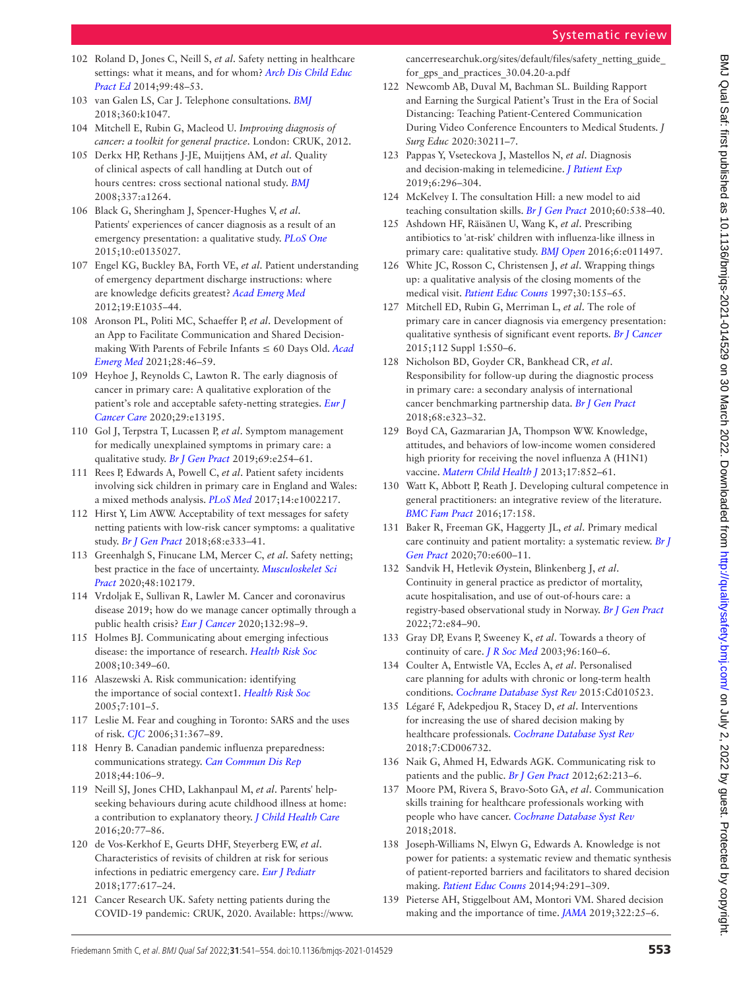- 102 Roland D, Jones C, Neill S, *et al*. Safety netting in healthcare settings: what it means, and for whom? *[Arch Dis Child Educ](http://dx.doi.org/10.1136/archdischild-2012-303056)  [Pract Ed](http://dx.doi.org/10.1136/archdischild-2012-303056)* 2014;99:48–53.
- 103 van Galen LS, Car J. Telephone consultations. *[BMJ](http://dx.doi.org/10.1136/bmj.k1047)* 2018;360:k1047.
- 104 Mitchell E, Rubin G, Macleod U. *Improving diagnosis of cancer: a toolkit for general practice*. London: CRUK, 2012.
- 105 Derkx HP, Rethans J-JE, Muijtjens AM, *et al*. Quality of clinical aspects of call handling at Dutch out of hours centres: cross sectional national study. *[BMJ](http://dx.doi.org/10.1136/bmj.a1264)* 2008;337:a1264.
- 106 Black G, Sheringham J, Spencer-Hughes V, *et al*. Patients' experiences of cancer diagnosis as a result of an emergency presentation: a qualitative study. *[PLoS One](http://dx.doi.org/10.1371/journal.pone.0135027)* 2015;10:e0135027.
- 107 Engel KG, Buckley BA, Forth VE, *et al*. Patient understanding of emergency department discharge instructions: where are knowledge deficits greatest? *[Acad Emerg Med](http://dx.doi.org/10.1111/j.1553-2712.2012.01425.x)* 2012;19:E1035–44.
- 108 Aronson PL, Politi MC, Schaeffer P, *et al*. Development of an App to Facilitate Communication and Shared Decisionmaking With Parents of Febrile Infants ≤ 60 Days Old. *[Acad](http://dx.doi.org/10.1111/acem.14082)  [Emerg Med](http://dx.doi.org/10.1111/acem.14082)* 2021;28:46–59.
- <span id="page-12-4"></span>109 Heyhoe J, Reynolds C, Lawton R. The early diagnosis of cancer in primary care: A qualitative exploration of the patient's role and acceptable safety‐netting strategies. *[Eur J](http://dx.doi.org/10.1111/ecc.13195)  [Cancer Care](http://dx.doi.org/10.1111/ecc.13195)* 2020;29:e13195.
- 110 Gol J, Terpstra T, Lucassen P, *et al*. Symptom management for medically unexplained symptoms in primary care: a qualitative study. *[Br J Gen Pract](http://dx.doi.org/10.3399/bjgp19X701849)* 2019;69:e254–61.
- 111 Rees P, Edwards A, Powell C, *et al*. Patient safety incidents involving sick children in primary care in England and Wales: a mixed methods analysis. *[PLoS Med](http://dx.doi.org/10.1371/journal.pmed.1002217)* 2017;14:e1002217.
- 112 Hirst Y, Lim AWW. Acceptability of text messages for safety netting patients with low-risk cancer symptoms: a qualitative study. *[Br J Gen Pract](http://dx.doi.org/10.3399/bjgp18X695741)* 2018;68:e333–41.
- <span id="page-12-1"></span>113 Greenhalgh S, Finucane LM, Mercer C, *et al*. Safety netting; best practice in the face of uncertainty. *[Musculoskelet Sci](http://dx.doi.org/10.1016/j.msksp.2020.102179)  [Pract](http://dx.doi.org/10.1016/j.msksp.2020.102179)* 2020;48:102179.
- <span id="page-12-2"></span>114 Vrdoljak E, Sullivan R, Lawler M. Cancer and coronavirus disease 2019; how do we manage cancer optimally through a public health crisis? *[Eur J Cancer](http://dx.doi.org/10.1016/j.ejca.2020.04.001)* 2020;132:98–9.
- 115 Holmes BJ. Communicating about emerging infectious disease: the importance of research. *[Health Risk Soc](http://dx.doi.org/10.1080/13698570802166431)* 2008;10:349–60.
- 116 Alaszewski A. Risk communication: identifying the importance of social context1. *[Health Risk Soc](http://dx.doi.org/10.1080/13698570500148905)* 2005;7:101–5.
- 117 Leslie M. Fear and coughing in Toronto: SARS and the uses of risk. *[CJC](http://dx.doi.org/10.22230/cjc.2006v31n2a1544)* 2006;31:367–89.
- 118 Henry B. Canadian pandemic influenza preparedness: communications strategy. *[Can Commun Dis Rep](http://dx.doi.org/10.14745/ccdr.v44i05a03)* 2018;44:106–9.
- 119 Neill SJ, Jones CHD, Lakhanpaul M, *et al*. Parents' helpseeking behaviours during acute childhood illness at home: a contribution to explanatory theory. *[J Child Health Care](http://dx.doi.org/10.1177/1367493514551309)* 2016;20:77–86.
- 120 de Vos-Kerkhof E, Geurts DHF, Steyerberg EW, *et al*. Characteristics of revisits of children at risk for serious infections in pediatric emergency care. *[Eur J Pediatr](http://dx.doi.org/10.1007/s00431-018-3095-0)* 2018;177:617–24.
- <span id="page-12-0"></span>121 Cancer Research UK. Safety netting patients during the COVID-19 pandemic: CRUK, 2020. Available: [https://www.](https://www.cancerresearchuk.org/sites/default/files/safety_netting_guide_for_gps_and_practices_30.04.20-a.pdf)

[cancerresearchuk.org/sites/default/files/safety\\_netting\\_guide\\_](https://www.cancerresearchuk.org/sites/default/files/safety_netting_guide_for_gps_and_practices_30.04.20-a.pdf) for gps and practices 30.04.20-a.pdf

- <span id="page-12-3"></span>122 Newcomb AB, Duval M, Bachman SL. Building Rapport and Earning the Surgical Patient's Trust in the Era of Social Distancing: Teaching Patient-Centered Communication During Video Conference Encounters to Medical Students. *J Surg Educ* 2020:30211–7.
- 123 Pappas Y, Vseteckova J, Mastellos N, *et al*. Diagnosis and decision-making in telemedicine. *[J Patient Exp](http://dx.doi.org/10.1177/2374373518803617)* 2019;6:296–304.
- 124 McKelvey I. The consultation Hill: a new model to aid teaching consultation skills. *[Br J Gen Pract](http://dx.doi.org/10.3399/bjgp10X514936)* 2010;60:538–40.
- <span id="page-12-5"></span>125 Ashdown HF, Räisänen U, Wang K, *et al*. Prescribing antibiotics to 'at-risk' children with influenza-like illness in primary care: qualitative study. *[BMJ Open](http://dx.doi.org/10.1136/bmjopen-2016-011497)* 2016;6:e011497.
- 126 White JC, Rosson C, Christensen J, *et al*. Wrapping things up: a qualitative analysis of the closing moments of the medical visit. *[Patient Educ Couns](http://dx.doi.org/10.1016/S0738-3991(96)00962-7)* 1997;30:155–65.
- 127 Mitchell ED, Rubin G, Merriman L, *et al*. The role of primary care in cancer diagnosis via emergency presentation: qualitative synthesis of significant event reports. *[Br J Cancer](http://dx.doi.org/10.1038/bjc.2015.42)* 2015;112 Suppl 1:S50–6.
- 128 Nicholson BD, Goyder CR, Bankhead CR, *et al*. Responsibility for follow-up during the diagnostic process in primary care: a secondary analysis of international cancer benchmarking partnership data. *[Br J Gen Pract](http://dx.doi.org/10.3399/bjgp18X695813)* 2018;68:e323–32.
- <span id="page-12-6"></span>129 Boyd CA, Gazmararian JA, Thompson WW. Knowledge, attitudes, and behaviors of low-income women considered high priority for receiving the novel influenza A (H1N1) vaccine. *[Matern Child Health J](http://dx.doi.org/10.1007/s10995-012-1063-2)* 2013;17:852–61.
- <span id="page-12-7"></span>130 Watt K, Abbott P, Reath J. Developing cultural competence in general practitioners: an integrative review of the literature. *[BMC Fam Pract](http://dx.doi.org/10.1186/s12875-016-0560-6)* 2016;17:158.
- <span id="page-12-8"></span>131 Baker R, Freeman GK, Haggerty JL, *et al*. Primary medical care continuity and patient mortality: a systematic review. *[Br J](http://dx.doi.org/10.3399/bjgp20X712289)  [Gen Pract](http://dx.doi.org/10.3399/bjgp20X712289)* 2020;70:e600–11.
- 132 Sandvik H, Hetlevik Øystein, Blinkenberg J, *et al*. Continuity in general practice as predictor of mortality, acute hospitalisation, and use of out-of-hours care: a registry-based observational study in Norway. *[Br J Gen Pract](http://dx.doi.org/10.3399/BJGP.2021.0340)* 2022;72:e84–90.
- 133 Gray DP, Evans P, Sweeney K, *et al*. Towards a theory of continuity of care. *[J R Soc Med](http://dx.doi.org/10.1177/014107680309600402)* 2003;96:160–6.
- <span id="page-12-9"></span>134 Coulter A, Entwistle VA, Eccles A, *et al*. Personalised care planning for adults with chronic or long-term health conditions. *[Cochrane Database Syst Rev](http://dx.doi.org/10.1002/14651858.CD010523.pub2)* 2015:Cd010523.
- 135 Légaré F, Adekpedjou R, Stacey D, *et al*. Interventions for increasing the use of shared decision making by healthcare professionals. *[Cochrane Database Syst Rev](http://dx.doi.org/10.1002/14651858.CD006732.pub4)* 2018;7:CD006732.
- 136 Naik G, Ahmed H, Edwards AGK. Communicating risk to patients and the public. *[Br J Gen Pract](http://dx.doi.org/10.3399/bjgp12X636236)* 2012;62:213–6.
- 137 Moore PM, Rivera S, Bravo-Soto GA, *et al*. Communication skills training for healthcare professionals working with people who have cancer. *[Cochrane Database Syst Rev](http://dx.doi.org/10.1002/14651858.CD003751.pub4)* 2018;2018.
- <span id="page-12-10"></span>138 Joseph-Williams N, Elwyn G, Edwards A. Knowledge is not power for patients: a systematic review and thematic synthesis of patient-reported barriers and facilitators to shared decision making. *[Patient Educ Couns](http://dx.doi.org/10.1016/j.pec.2013.10.031)* 2014;94:291–309.
- <span id="page-12-11"></span>139 Pieterse AH, Stiggelbout AM, Montori VM. Shared decision making and the importance of time. *[JAMA](http://dx.doi.org/10.1001/jama.2019.3785)* 2019;322:25–6.